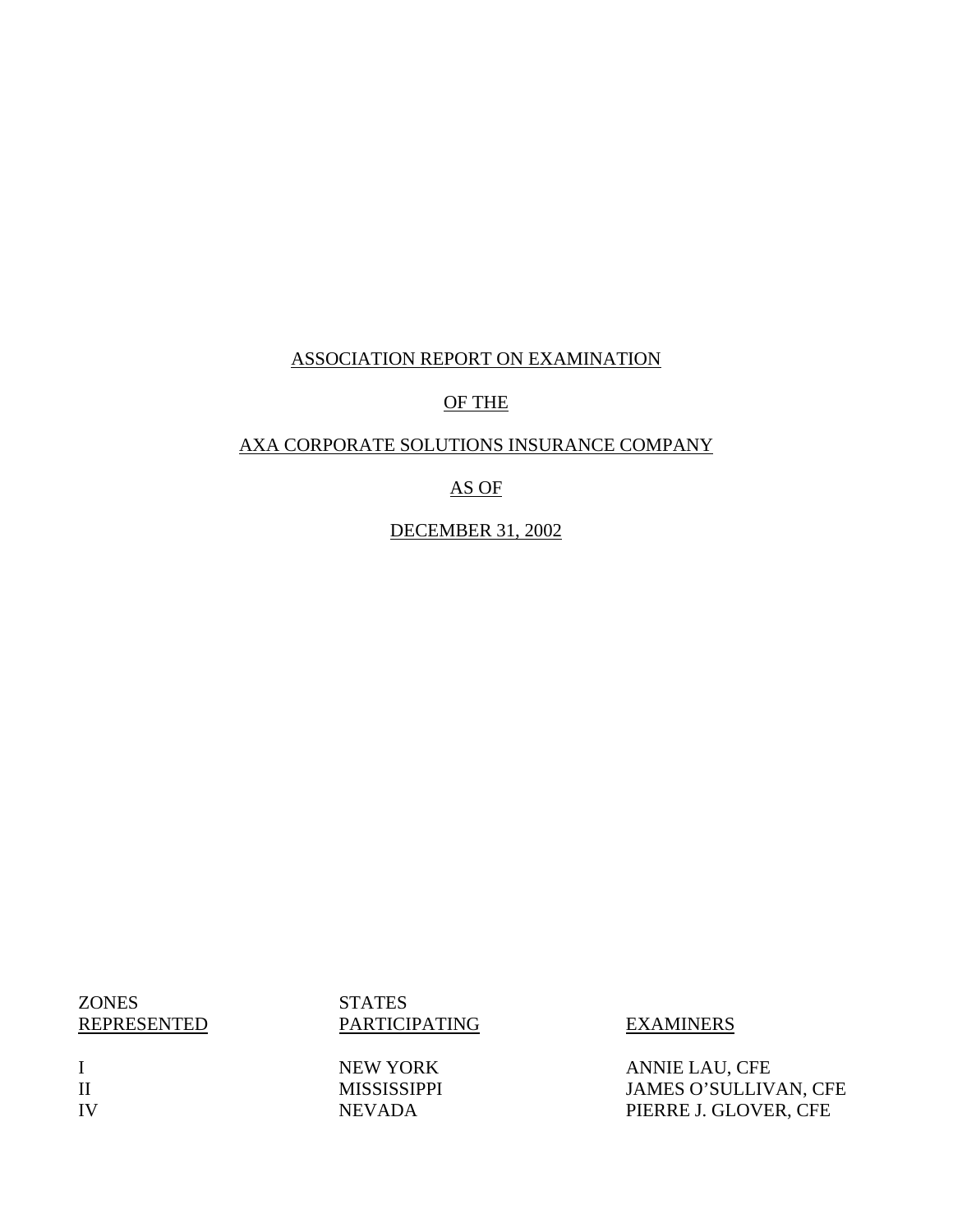### ASSOCIATION REPORT ON EXAMINATION

### OF THE

### AXA CORPORATE SOLUTIONS INSURANCE COMPANY

### AS OF

DECEMBER 31, 2002

**ZONES** REPRESENTED

I II IV **STATES** PARTICIPATING EXAMINERS

NEW YORK MISSISSIPPI NEVADA

ANNIE LAU, CFE JAMES O'SULLIVAN, CFE PIERRE J. GLOVER, CFE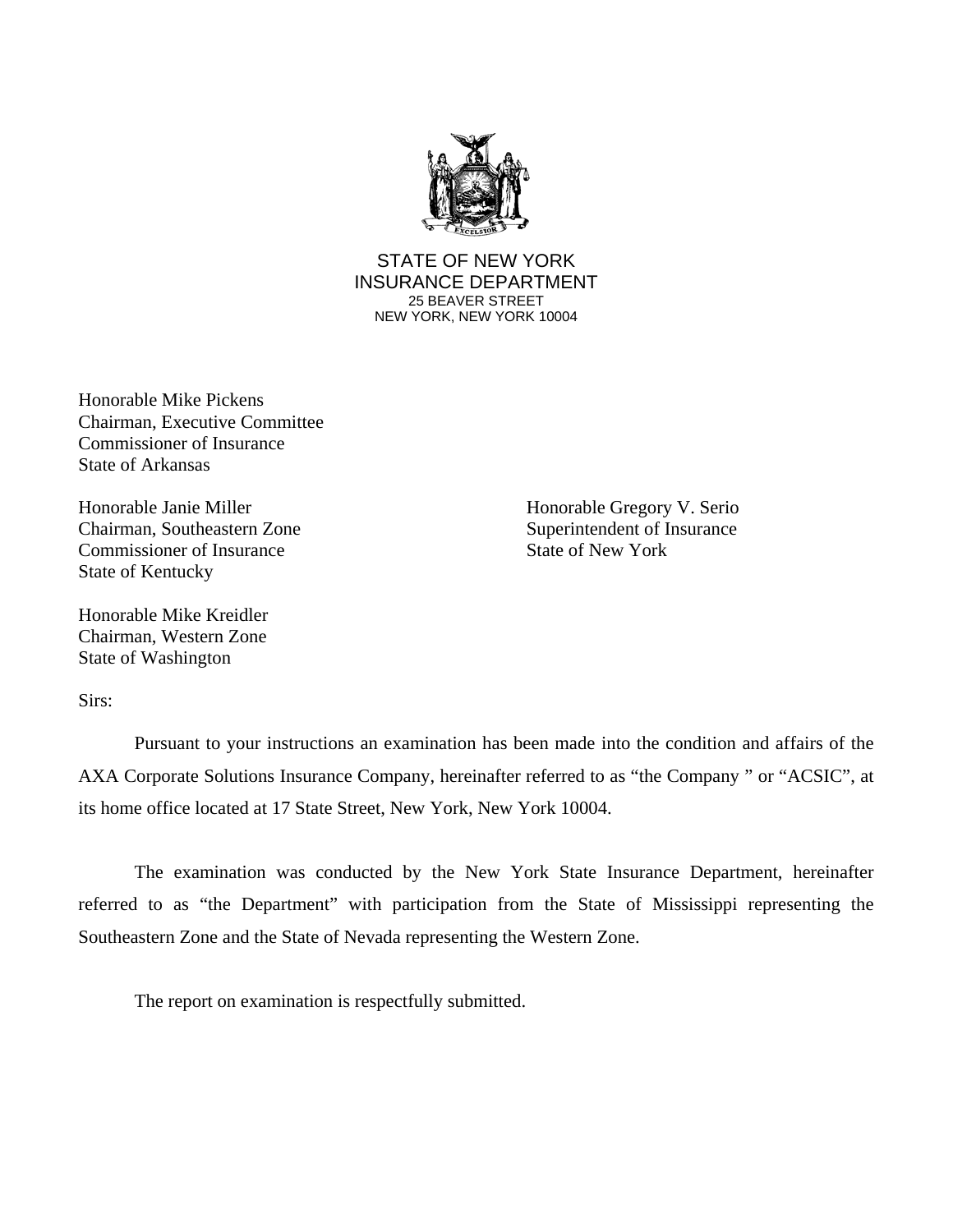

STATE OF NEW YORK INSURANCE DEPARTMENT 25 BEAVER STREET NEW YORK, NEW YORK 10004

Honorable Mike Pickens Chairman, Executive Committee Commissioner of Insurance State of Arkansas

Chairman, Southeastern Zone Superintendent of Insurance Commissioner of Insurance State of New York State of Kentucky

Honorable Mike Kreidler Chairman, Western Zone State of Washington

Honorable Janie Miller Honorable Gregory V. Serio

Sirs:

Pursuant to your instructions an examination has been made into the condition and affairs of the AXA Corporate Solutions Insurance Company, hereinafter referred to as "the Company " or "ACSIC", at its home office located at 17 State Street, New York, New York 10004.

The examination was conducted by the New York State Insurance Department, hereinafter referred to as "the Department" with participation from the State of Mississippi representing the Southeastern Zone and the State of Nevada representing the Western Zone.

The report on examination is respectfully submitted.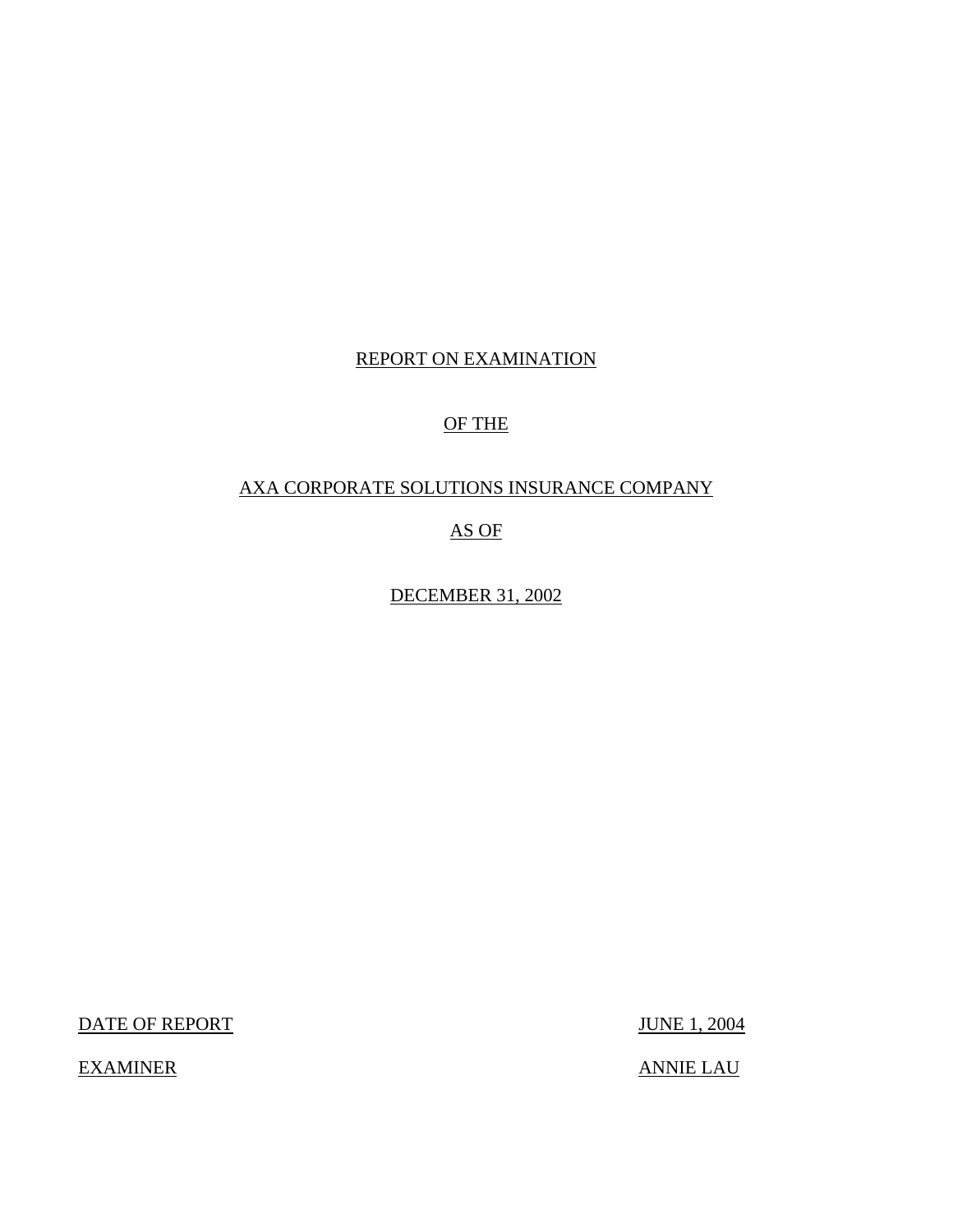### REPORT ON EXAMINATION

### OF THE

### AXA CORPORATE SOLUTIONS INSURANCE COMPANY

### AS OF

DECEMBER 31, 2002

DATE OF REPORT JUNE 1, 2004

EXAMINER ANNIE LAU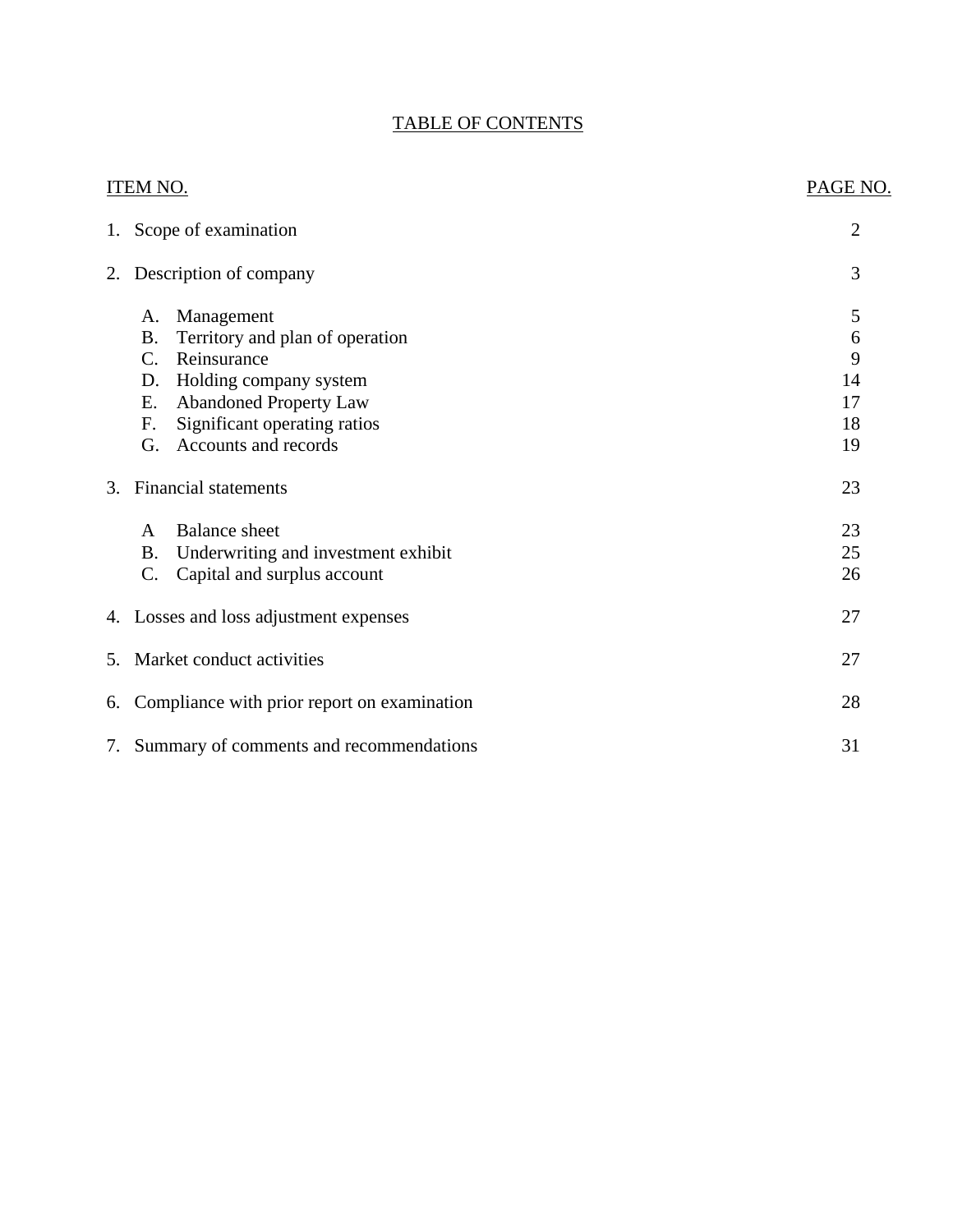### TABLE OF CONTENTS

|    | <b>ITEM NO.</b>                                  | PAGE NO. |
|----|--------------------------------------------------|----------|
|    | 1. Scope of examination                          | 2        |
|    | 2. Description of company                        | 3        |
|    | Management<br>A.                                 | 5        |
|    | <b>B.</b><br>Territory and plan of operation     | 6        |
|    | Reinsurance<br>C.                                | 9        |
|    | Holding company system<br>D.                     | 14       |
|    | <b>Abandoned Property Law</b><br>E.              | 17       |
|    | Significant operating ratios<br>F.               | 18       |
|    | Accounts and records<br>G.                       | 19       |
| 3. | <b>Financial statements</b>                      | 23       |
|    | <b>Balance</b> sheet<br>A                        | 23       |
|    | Underwriting and investment exhibit<br><b>B.</b> | 25       |
|    | C.<br>Capital and surplus account                | 26       |
|    | 4. Losses and loss adjustment expenses           | 27       |
| 5. | Market conduct activities                        | 27       |
|    | 6. Compliance with prior report on examination   | 28       |
|    | 7. Summary of comments and recommendations       | 31       |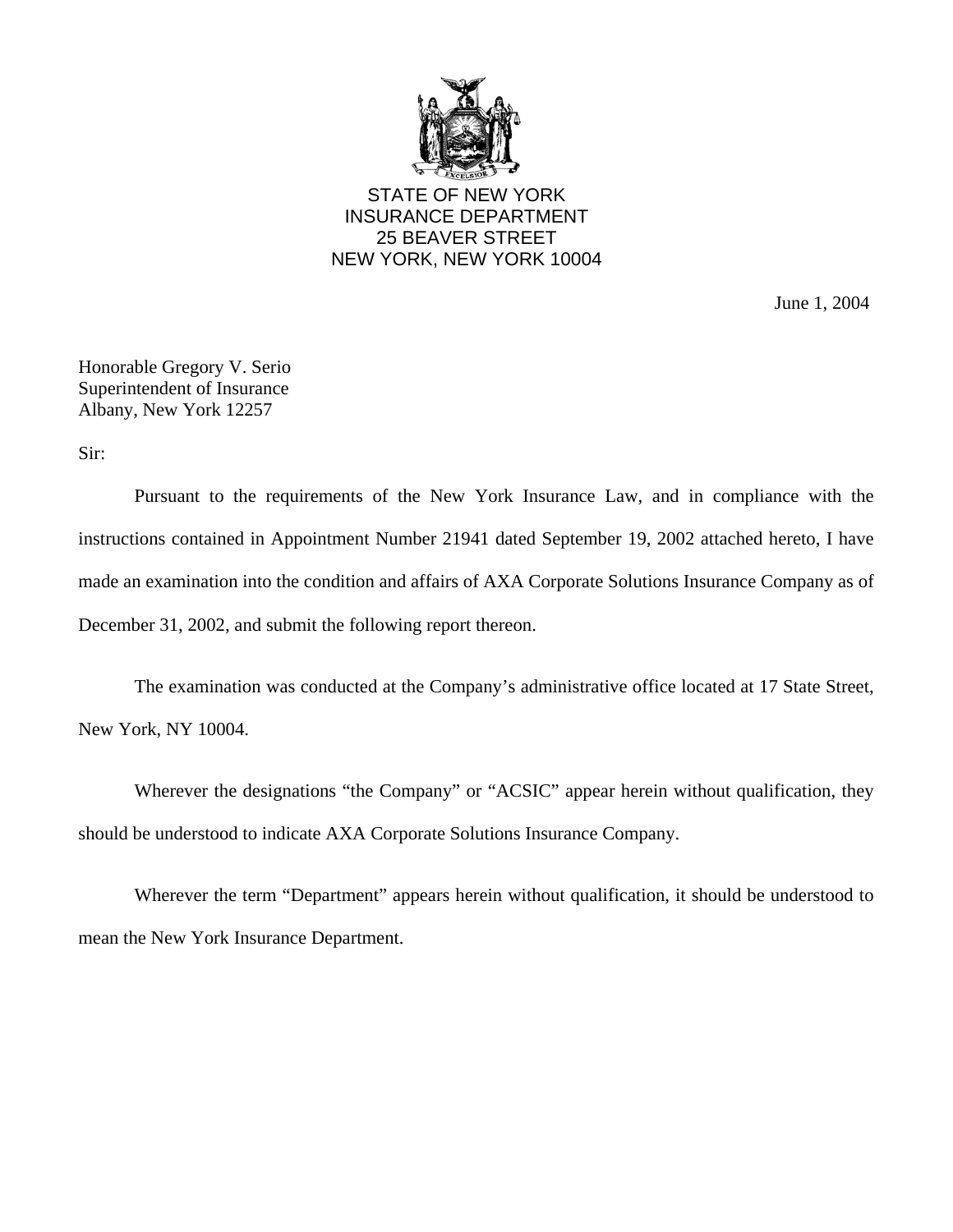

STATE OF NEW YORK INSURANCE DEPARTMENT 25 BEAVER STREET NEW YORK, NEW YORK 10004

June 1, 2004

Honorable Gregory V. Serio Superintendent of Insurance Albany, New York 12257

Sir:

Pursuant to the requirements of the New York Insurance Law, and in compliance with the instructions contained in Appointment Number 21941 dated September 19, 2002 attached hereto, I have made an examination into the condition and affairs of AXA Corporate Solutions Insurance Company as of December 31, 2002, and submit the following report thereon.

The examination was conducted at the Company's administrative office located at 17 State Street, New York, NY 10004.

Wherever the designations "the Company" or "ACSIC" appear herein without qualification, they should be understood to indicate AXA Corporate Solutions Insurance Company.

Wherever the term "Department" appears herein without qualification, it should be understood to mean the New York Insurance Department.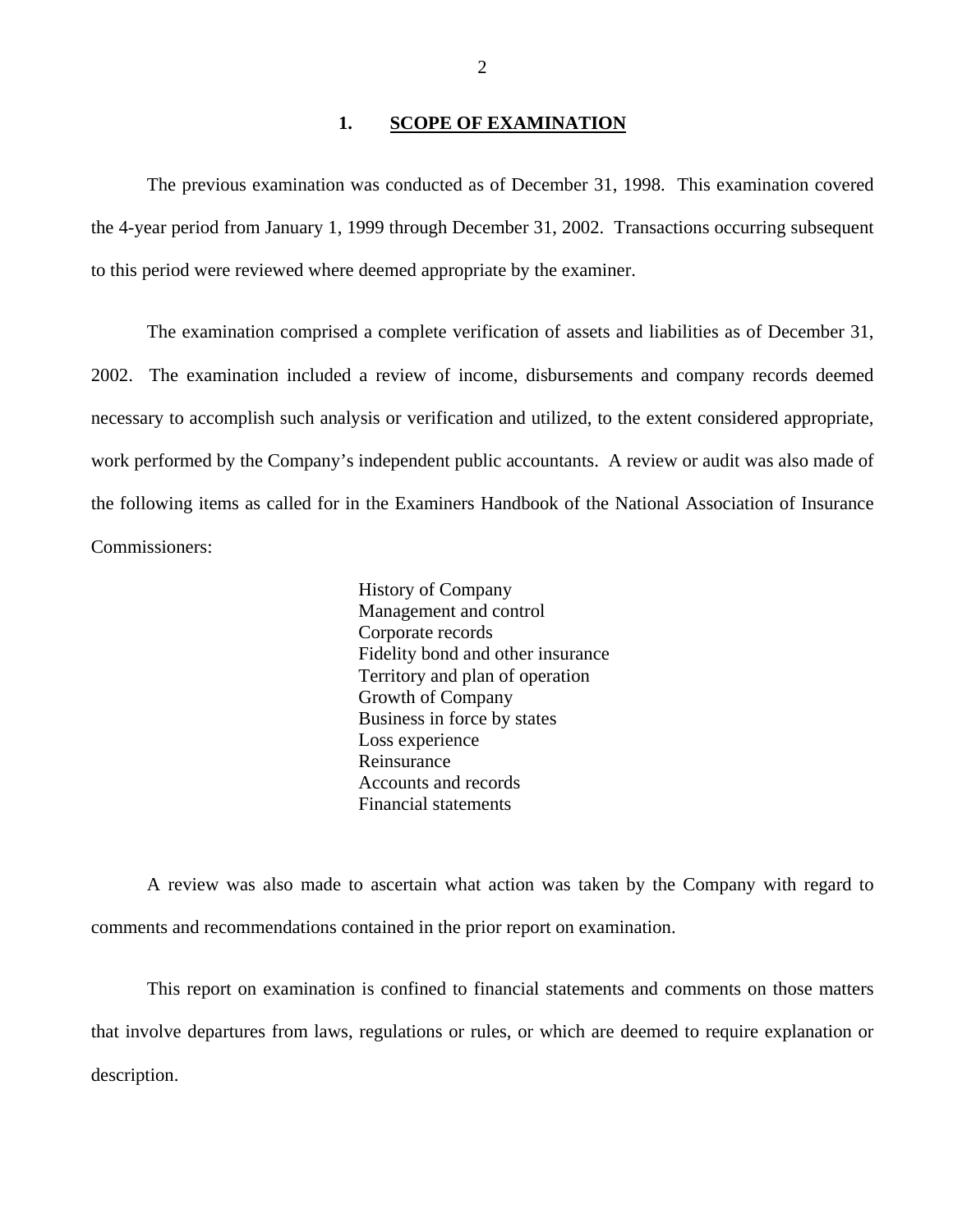#### **1. SCOPE OF EXAMINATION**

<span id="page-5-0"></span>The previous examination was conducted as of December 31, 1998. This examination covered the 4-year period from January 1, 1999 through December 31, 2002. Transactions occurring subsequent to this period were reviewed where deemed appropriate by the examiner.

The examination comprised a complete verification of assets and liabilities as of December 31, 2002. The examination included a review of income, disbursements and company records deemed necessary to accomplish such analysis or verification and utilized, to the extent considered appropriate, work performed by the Company's independent public accountants. A review or audit was also made of the following items as called for in the Examiners Handbook of the National Association of Insurance Commissioners:

> History of Company Management and control Corporate records Fidelity bond and other insurance Territory and plan of operation Growth of Company Business in force by states Loss experience Reinsurance Accounts and records Financial statements

A review was also made to ascertain what action was taken by the Company with regard to comments and recommendations contained in the prior report on examination.

This report on examination is confined to financial statements and comments on those matters that involve departures from laws, regulations or rules, or which are deemed to require explanation or description.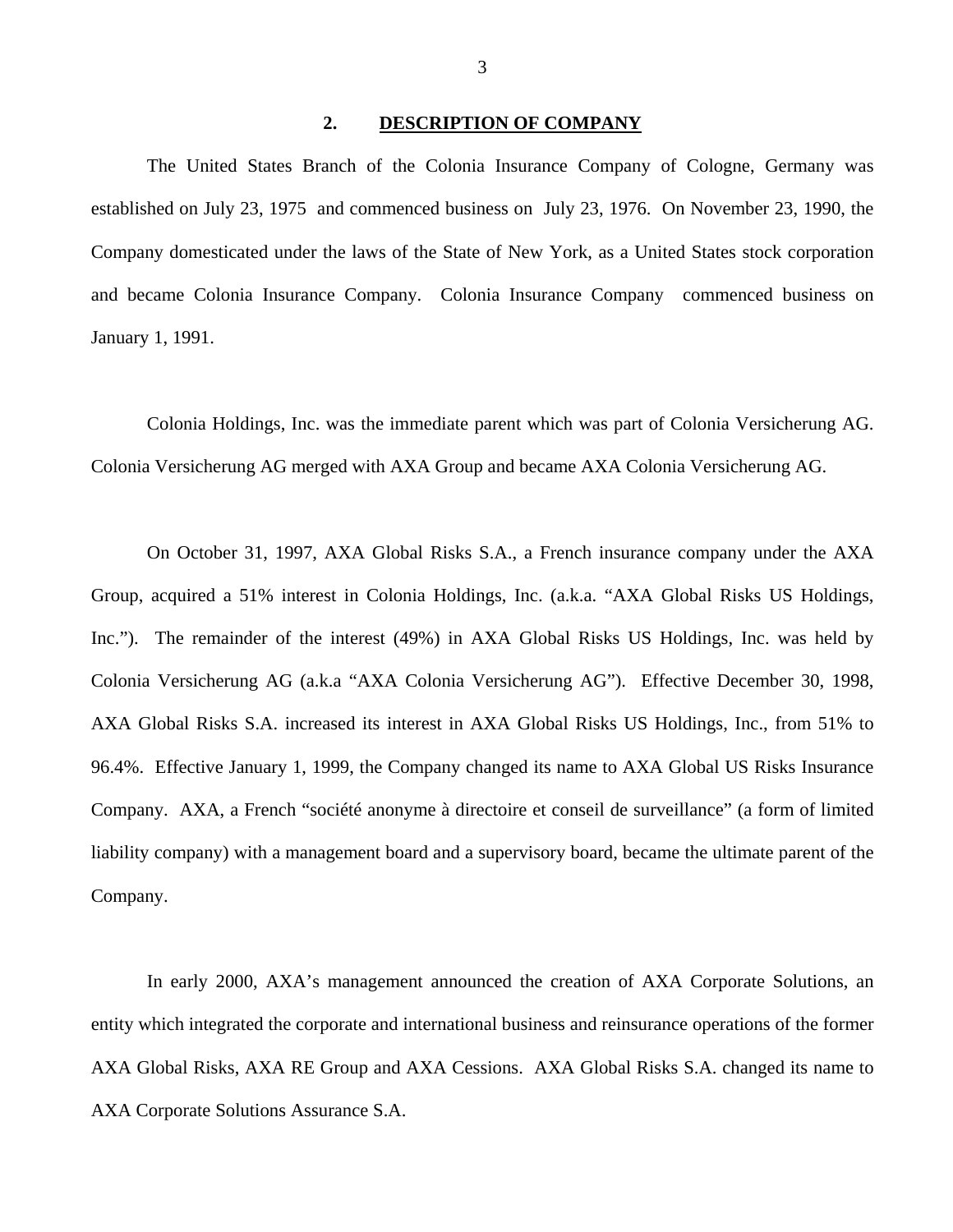#### **2. DESCRIPTION OF COMPANY**

<span id="page-6-0"></span>The United States Branch of the Colonia Insurance Company of Cologne, Germany was established on July 23, 1975 and commenced business on July 23, 1976. On November 23, 1990, the Company domesticated under the laws of the State of New York, as a United States stock corporation and became Colonia Insurance Company. Colonia Insurance Company commenced business on January 1, 1991.

Colonia Holdings, Inc. was the immediate parent which was part of Colonia Versicherung AG. Colonia Versicherung AG merged with AXA Group and became AXA Colonia Versicherung AG.

On October 31, 1997, AXA Global Risks S.A., a French insurance company under the AXA Group, acquired a 51% interest in Colonia Holdings, Inc. (a.k.a. "AXA Global Risks US Holdings, Inc."). The remainder of the interest (49%) in AXA Global Risks US Holdings, Inc. was held by Colonia Versicherung AG (a.k.a "AXA Colonia Versicherung AG"). Effective December 30, 1998, AXA Global Risks S.A. increased its interest in AXA Global Risks US Holdings, Inc., from 51% to 96.4%. Effective January 1, 1999, the Company changed its name to AXA Global US Risks Insurance Company. AXA, a French "société anonyme à directoire et conseil de surveillance" (a form of limited liability company) with a management board and a supervisory board, became the ultimate parent of the Company.

In early 2000, AXA's management announced the creation of AXA Corporate Solutions, an entity which integrated the corporate and international business and reinsurance operations of the former AXA Global Risks, AXA RE Group and AXA Cessions. AXA Global Risks S.A. changed its name to AXA Corporate Solutions Assurance S.A.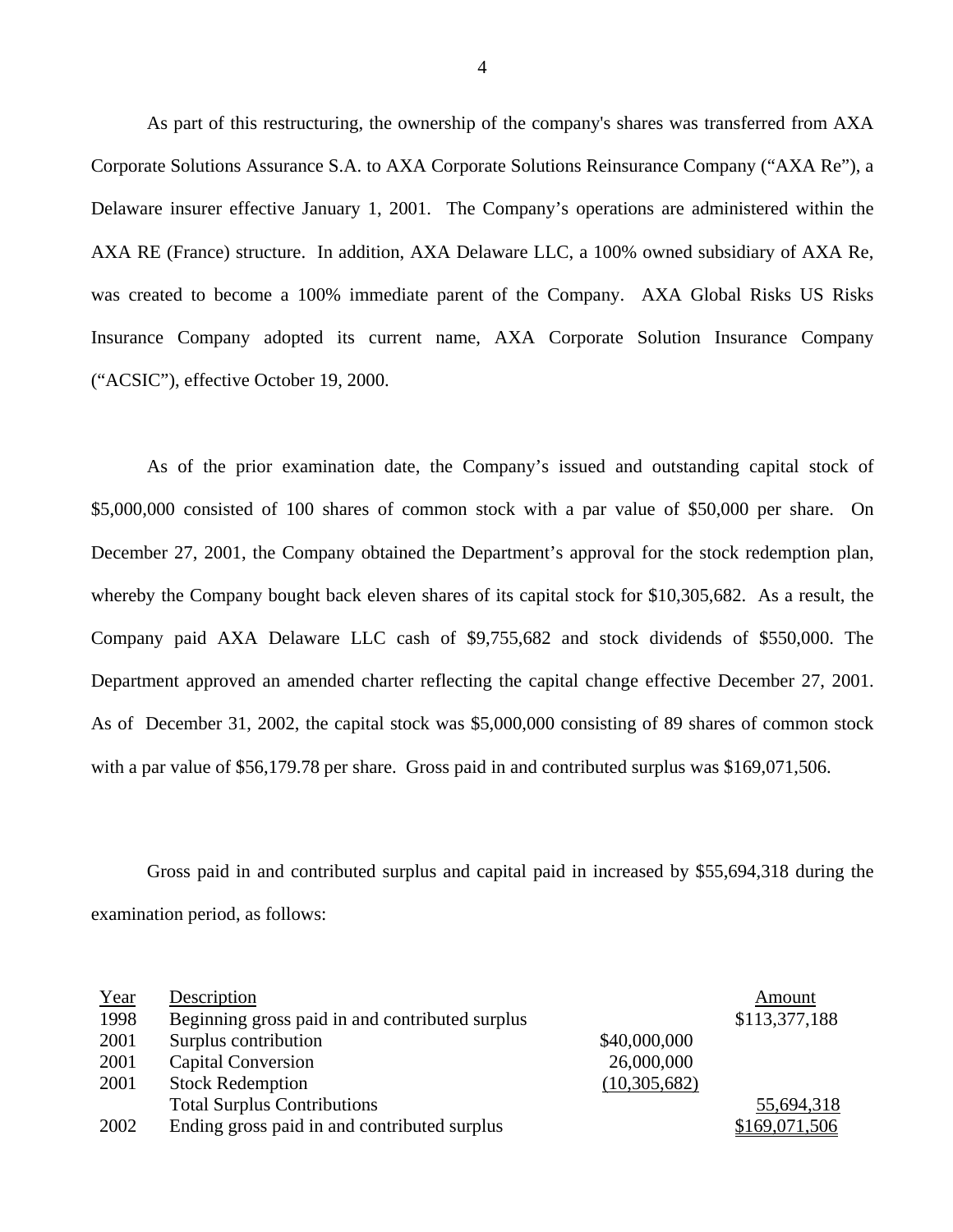As part of this restructuring, the ownership of the company's shares was transferred from AXA Corporate Solutions Assurance S.A. to AXA Corporate Solutions Reinsurance Company ("AXA Re"), a Delaware insurer effective January 1, 2001. The Company's operations are administered within the AXA RE (France) structure. In addition, AXA Delaware LLC, a 100% owned subsidiary of AXA Re, was created to become a 100% immediate parent of the Company. AXA Global Risks US Risks Insurance Company adopted its current name, AXA Corporate Solution Insurance Company ("ACSIC"), effective October 19, 2000.

As of the prior examination date, the Company's issued and outstanding capital stock of \$5,000,000 consisted of 100 shares of common stock with a par value of \$50,000 per share. On December 27, 2001, the Company obtained the Department's approval for the stock redemption plan, whereby the Company bought back eleven shares of its capital stock for \$10,305,682. As a result, the Company paid AXA Delaware LLC cash of \$9,755,682 and stock dividends of \$550,000. The Department approved an amended charter reflecting the capital change effective December 27, 2001. As of December 31, 2002, the capital stock was \$5,000,000 consisting of 89 shares of common stock with a par value of \$[56,179.78](https://56,179.78) per share. Gross paid in and contributed surplus was \$169,071,506.

Gross paid in and contributed surplus and capital paid in increased by \$55,694,318 during the examination period, as follows:

| Year | Description                                     |              | Amount        |
|------|-------------------------------------------------|--------------|---------------|
| 1998 | Beginning gross paid in and contributed surplus |              | \$113,377,188 |
| 2001 | Surplus contribution                            | \$40,000,000 |               |
| 2001 | <b>Capital Conversion</b>                       | 26,000,000   |               |
| 2001 | <b>Stock Redemption</b>                         | (10,305,682) |               |
|      | <b>Total Surplus Contributions</b>              |              | 55,694,318    |
| 2002 | Ending gross paid in and contributed surplus    |              | \$169,071,506 |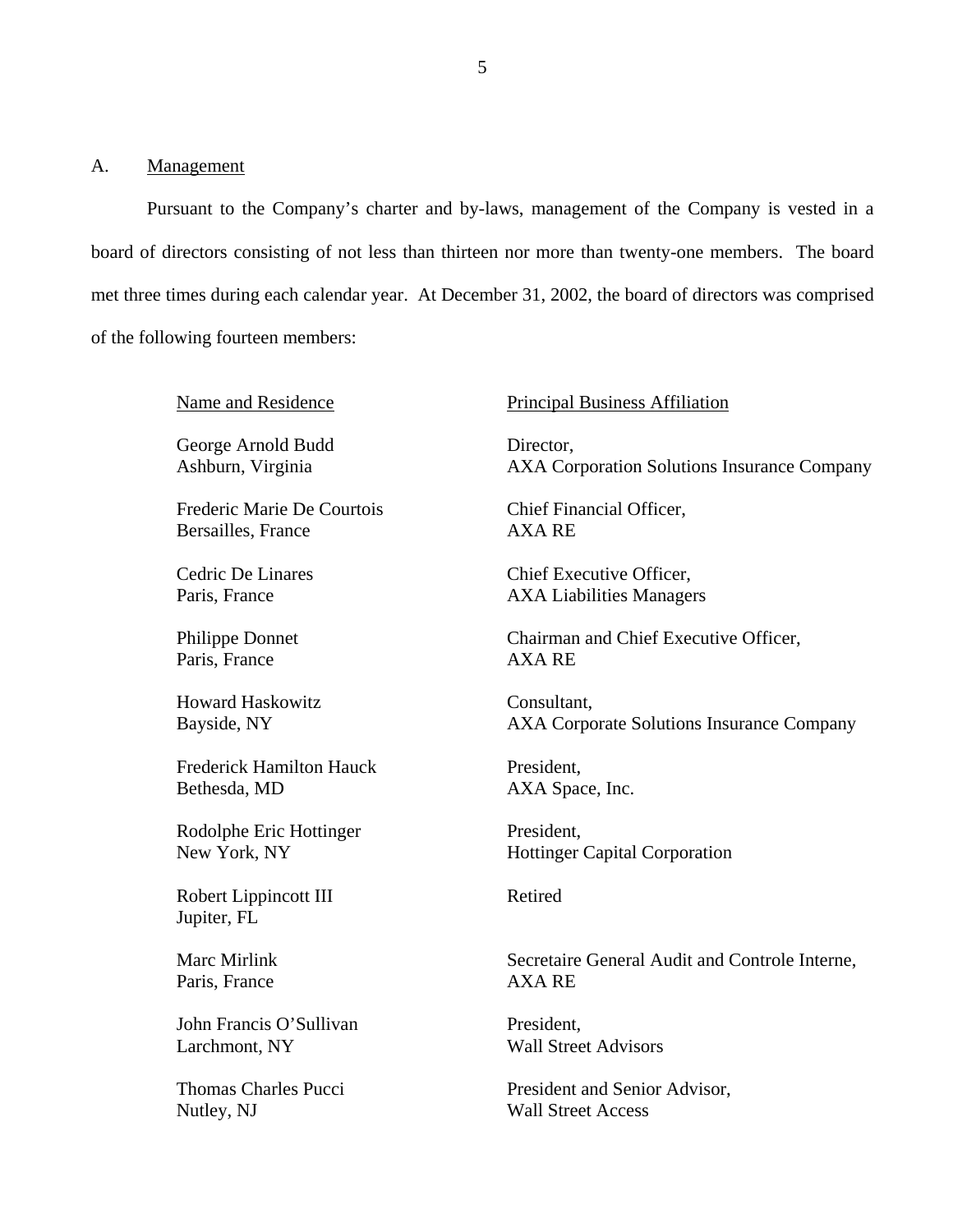#### <span id="page-8-0"></span>A. Management

Pursuant to the Company's charter and by-laws, management of the Company is vested in a board of directors consisting of not less than thirteen nor more than twenty-one members. The board met three times during each calendar year. At December 31, 2002, the board of directors was comprised of the following fourteen members:

Name and Residence

George Arnold Budd Ashburn, Virginia

Frederic Marie De Courtois Bersailles, France

Cedric De Linares Paris, France

Philippe Donnet Paris, France

Howard Haskowitz Bayside, NY

Frederick Hamilton Hauck Bethesda, MD

Rodolphe Eric Hottinger New York, NY

Robert Lippincott III Jupiter, FL

Marc Mirlink Paris, France

John Francis O'Sullivan Larchmont, NY

Thomas Charles Pucci Nutley, NJ

#### Principal Business Affiliation

Director, AXA Corporation Solutions Insurance Company

Chief Financial Officer, AXA RE

Chief Executive Officer, AXA Liabilities Managers

Chairman and Chief Executive Officer, AXA RE

Consultant, AXA Corporate Solutions Insurance Company

President, AXA Space, Inc.

President, Hottinger Capital Corporation

Retired

Secretaire General Audit and Controle Interne, AXA RE

President, Wall Street Advisors

President and Senior Advisor, Wall Street Access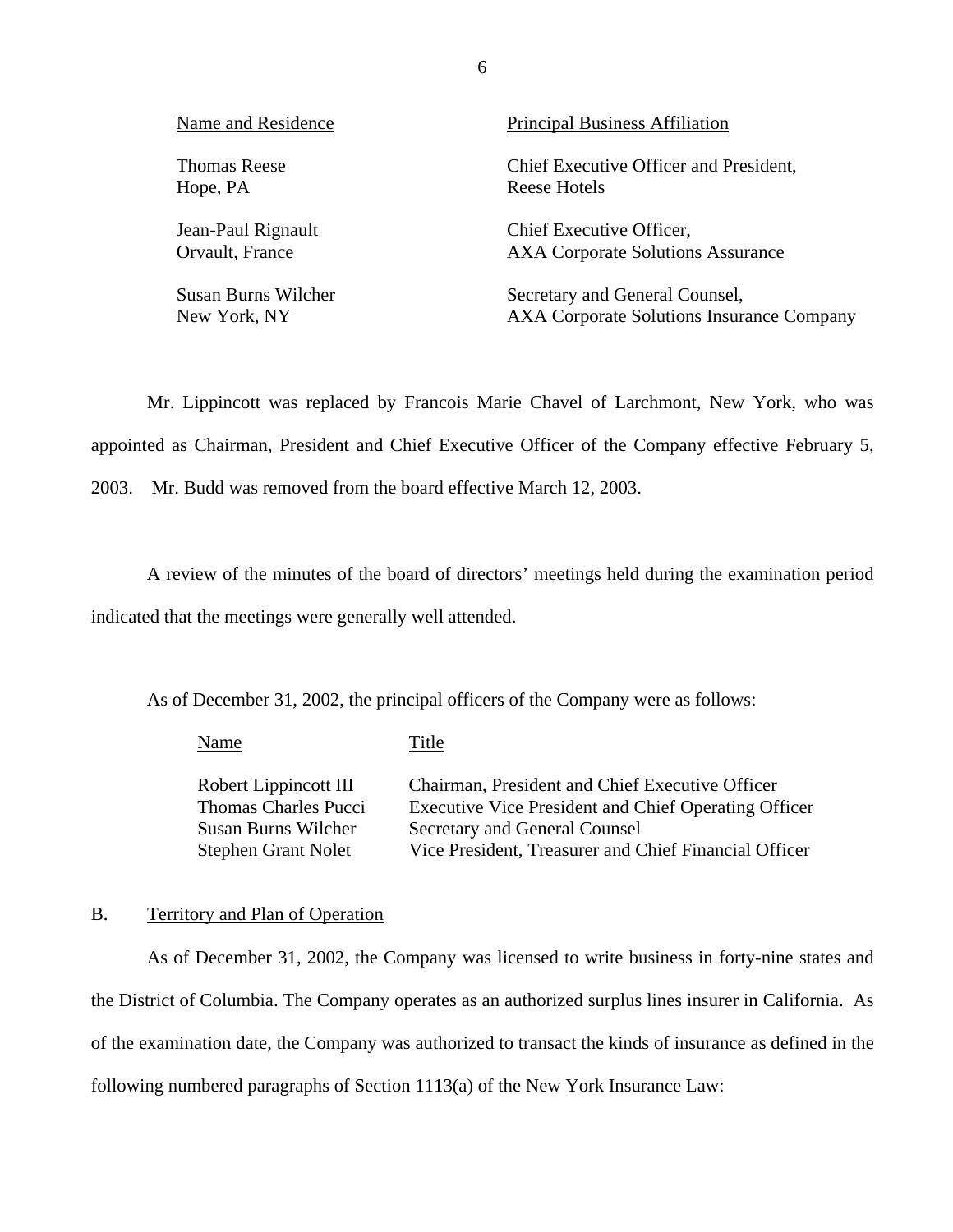<span id="page-9-0"></span>

| Name and Residence  | Principal Business Affiliation            |
|---------------------|-------------------------------------------|
| <b>Thomas Reese</b> | Chief Executive Officer and President,    |
| Hope, PA            | Reese Hotels                              |
| Jean-Paul Rignault  | Chief Executive Officer,                  |
| Orvault, France     | <b>AXA Corporate Solutions Assurance</b>  |
| Susan Burns Wilcher | Secretary and General Counsel,            |
| New York, NY        | AXA Corporate Solutions Insurance Company |

Mr. Lippincott was replaced by Francois Marie Chavel of Larchmont, New York, who was appointed as Chairman, President and Chief Executive Officer of the Company effective February 5, 2003. Mr. Budd was removed from the board effective March 12, 2003.

A review of the minutes of the board of directors' meetings held during the examination period indicated that the meetings were generally well attended.

As of December 31, 2002, the principal officers of the Company were as follows:

Name Title Robert Lippincott III Chairman, President and Chief Executive Officer Thomas Charles Pucci Executive Vice President and Chief Operating Officer Susan Burns Wilcher Secretary and General Counsel Stephen Grant Nolet Vice President, Treasurer and Chief Financial Officer

#### B. Territory and Plan of Operation

As of December 31, 2002, the Company was licensed to write business in forty-nine states and the District of Columbia. The Company operates as an authorized surplus lines insurer in California. As of the examination date, the Company was authorized to transact the kinds of insurance as defined in the following numbered paragraphs of Section 1113(a) of the New York Insurance Law: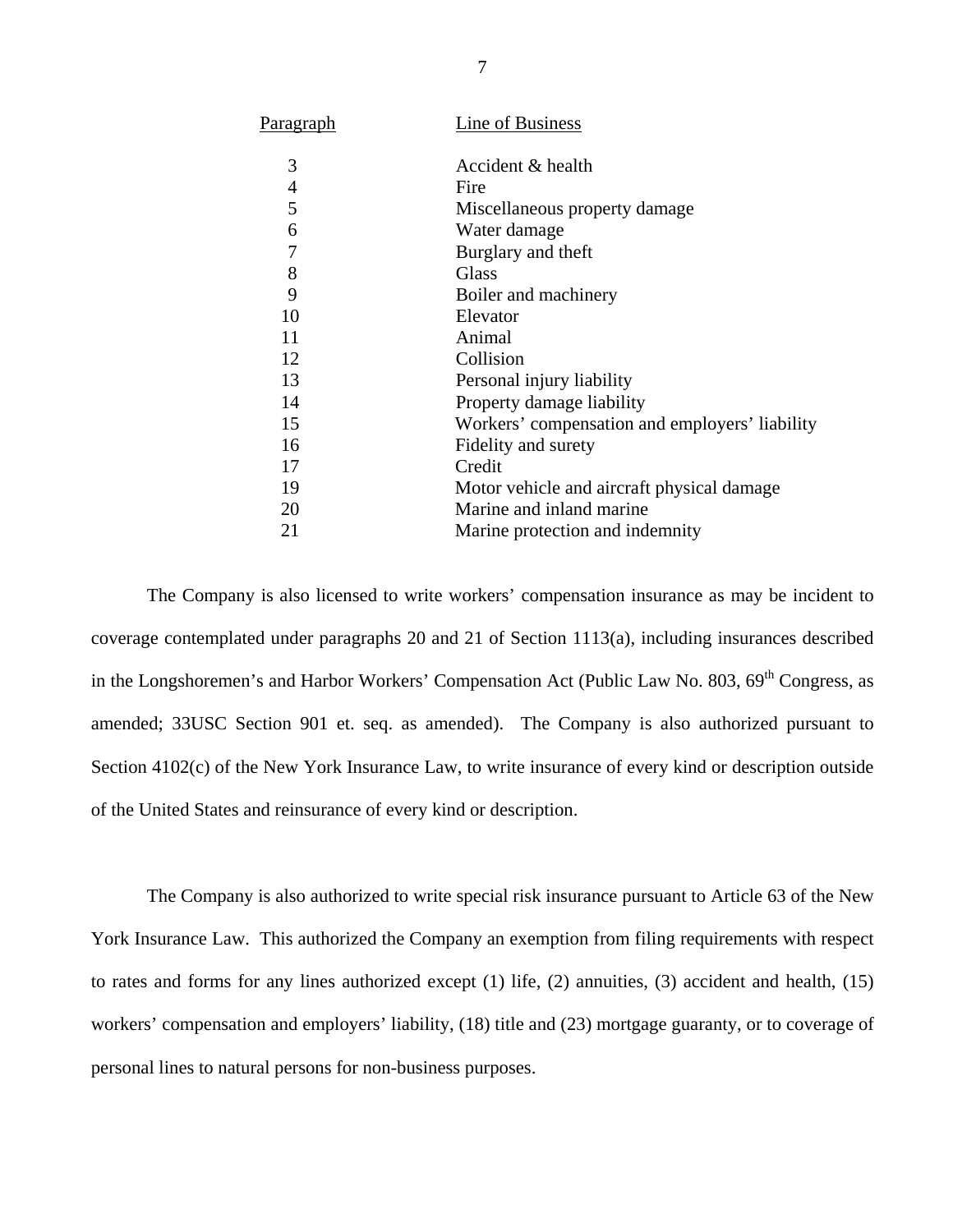| Paragraph | Line of Business                               |
|-----------|------------------------------------------------|
| 3         | Accident & health                              |
| 4         | Fire                                           |
| 5         | Miscellaneous property damage                  |
| 6         | Water damage                                   |
| 7         | Burglary and theft                             |
| 8         | Glass                                          |
| 9         | Boiler and machinery                           |
| 10        | Elevator                                       |
| 11        | Animal                                         |
| 12        | Collision                                      |
| 13        | Personal injury liability                      |
| 14        | Property damage liability                      |
| 15        | Workers' compensation and employers' liability |
| 16        | Fidelity and surety                            |
| 17        | Credit                                         |
| 19        | Motor vehicle and aircraft physical damage     |
| 20        | Marine and inland marine                       |
| 21        | Marine protection and indemnity                |
|           |                                                |

The Company is also licensed to write workers' compensation insurance as may be incident to coverage contemplated under paragraphs 20 and 21 of Section 1113(a), including insurances described in the Longshoremen's and Harbor Workers' Compensation Act (Public Law No. 803, 69<sup>th</sup> Congress, as amended; 33USC Section 901 et. seq. as amended). The Company is also authorized pursuant to Section 4102(c) of the New York Insurance Law, to write insurance of every kind or description outside of the United States and reinsurance of every kind or description.

The Company is also authorized to write special risk insurance pursuant to Article 63 of the New York Insurance Law. This authorized the Company an exemption from filing requirements with respect to rates and forms for any lines authorized except (1) life, (2) annuities, (3) accident and health, (15) workers' compensation and employers' liability, (18) title and (23) mortgage guaranty, or to coverage of personal lines to natural persons for non-business purposes.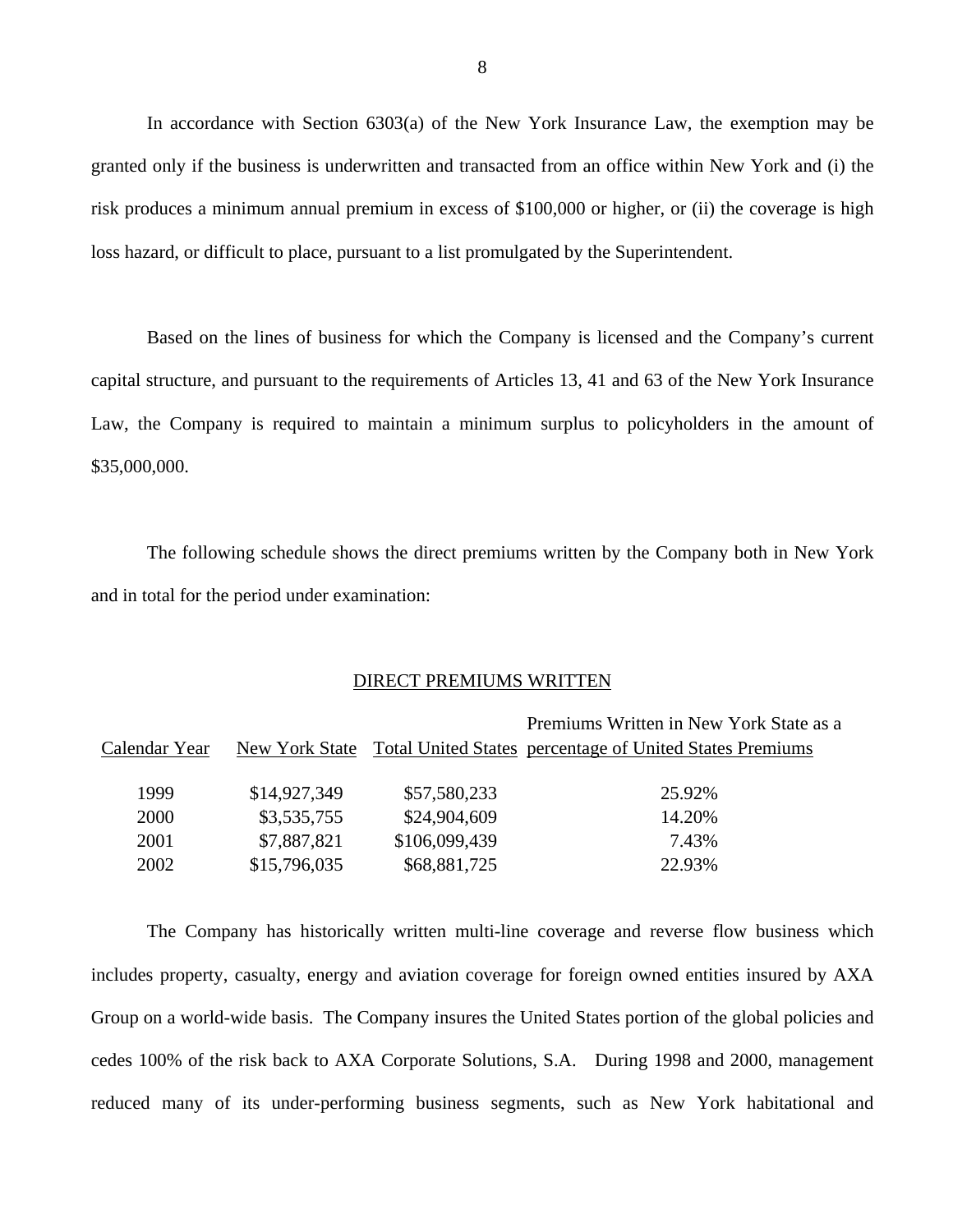In accordance with Section 6303(a) of the New York Insurance Law, the exemption may be granted only if the business is underwritten and transacted from an office within New York and (i) the risk produces a minimum annual premium in excess of \$100,000 or higher, or (ii) the coverage is high loss hazard, or difficult to place, pursuant to a list promulgated by the Superintendent.

Based on the lines of business for which the Company is licensed and the Company's current capital structure, and pursuant to the requirements of Articles 13, 41 and 63 of the New York Insurance Law, the Company is required to maintain a minimum surplus to policyholders in the amount of \$35,000,000.

The following schedule shows the direct premiums written by the Company both in New York and in total for the period under examination:

#### DIRECT PREMIUMS WRITTEN

| Premiums Written in New York State as a<br><b>Total United States percentage of United States Premiums</b> |
|------------------------------------------------------------------------------------------------------------|
|                                                                                                            |
|                                                                                                            |
|                                                                                                            |
|                                                                                                            |
|                                                                                                            |

The Company has historically written multi-line coverage and reverse flow business which includes property, casualty, energy and aviation coverage for foreign owned entities insured by AXA Group on a world-wide basis. The Company insures the United States portion of the global policies and cedes 100% of the risk back to AXA Corporate Solutions, S.A. During 1998 and 2000, management reduced many of its under-performing business segments, such as New York habitational and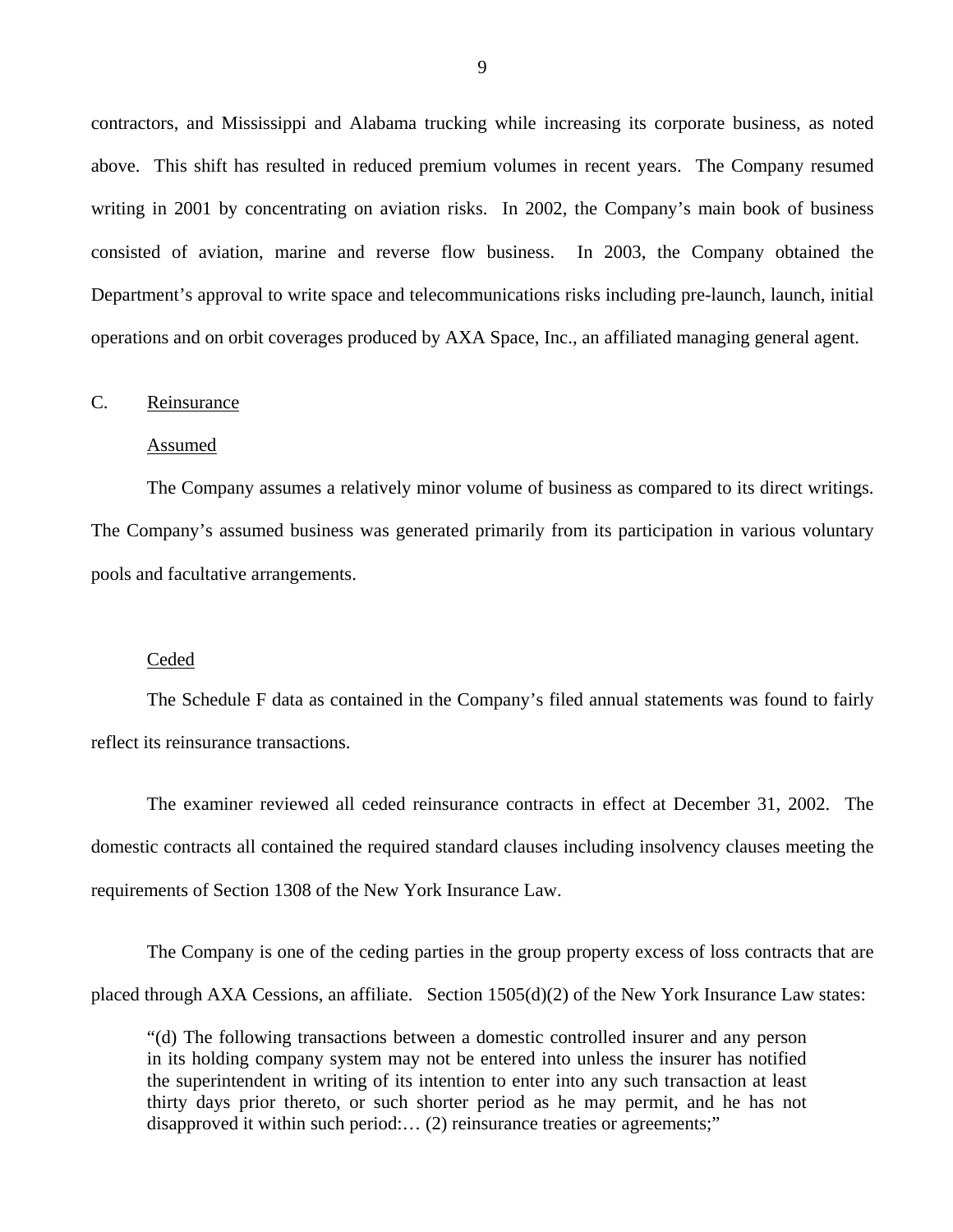<span id="page-12-0"></span>contractors, and Mississippi and Alabama trucking while increasing its corporate business, as noted above. This shift has resulted in reduced premium volumes in recent years. The Company resumed writing in 2001 by concentrating on aviation risks. In 2002, the Company's main book of business consisted of aviation, marine and reverse flow business. In 2003, the Company obtained the Department's approval to write space and telecommunications risks including pre-launch, launch, initial operations and on orbit coverages produced by AXA Space, Inc., an affiliated managing general agent.

#### C. Reinsurance

#### Assumed

The Company assumes a relatively minor volume of business as compared to its direct writings. The Company's assumed business was generated primarily from its participation in various voluntary pools and facultative arrangements.

#### Ceded

The Schedule F data as contained in the Company's filed annual statements was found to fairly reflect its reinsurance transactions.

The examiner reviewed all ceded reinsurance contracts in effect at December 31, 2002. The domestic contracts all contained the required standard clauses including insolvency clauses meeting the requirements of Section 1308 of the New York Insurance Law.

The Company is one of the ceding parties in the group property excess of loss contracts that are placed through AXA Cessions, an affiliate. Section 1505(d)(2) of the New York Insurance Law states:

"(d) The following transactions between a domestic controlled insurer and any person in its holding company system may not be entered into unless the insurer has notified the superintendent in writing of its intention to enter into any such transaction at least thirty days prior thereto, or such shorter period as he may permit, and he has not disapproved it within such period:… (2) reinsurance treaties or agreements;"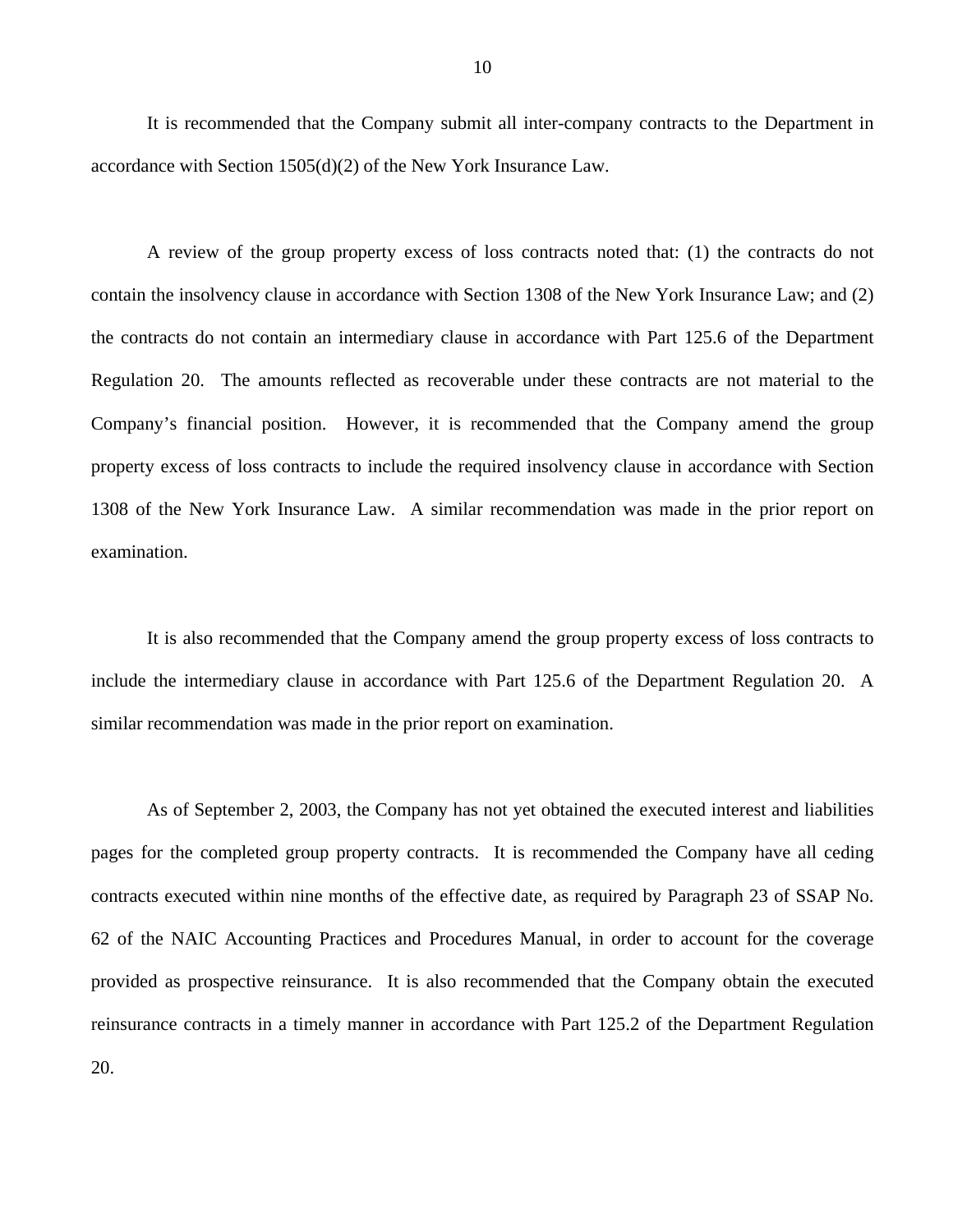It is recommended that the Company submit all inter-company contracts to the Department in accordance with Section 1505(d)(2) of the New York Insurance Law.

A review of the group property excess of loss contracts noted that: (1) the contracts do not contain the insolvency clause in accordance with Section 1308 of the New York Insurance Law; and (2) the contracts do not contain an intermediary clause in accordance with Part 125.6 of the Department Regulation 20. The amounts reflected as recoverable under these contracts are not material to the Company's financial position. However, it is recommended that the Company amend the group property excess of loss contracts to include the required insolvency clause in accordance with Section 1308 of the New York Insurance Law. A similar recommendation was made in the prior report on examination.

It is also recommended that the Company amend the group property excess of loss contracts to include the intermediary clause in accordance with Part 125.6 of the Department Regulation 20. A similar recommendation was made in the prior report on examination.

As of September 2, 2003, the Company has not yet obtained the executed interest and liabilities pages for the completed group property contracts. It is recommended the Company have all ceding contracts executed within nine months of the effective date, as required by Paragraph 23 of SSAP No. 62 of the NAIC Accounting Practices and Procedures Manual, in order to account for the coverage provided as prospective reinsurance. It is also recommended that the Company obtain the executed reinsurance contracts in a timely manner in accordance with Part 125.2 of the Department Regulation 20.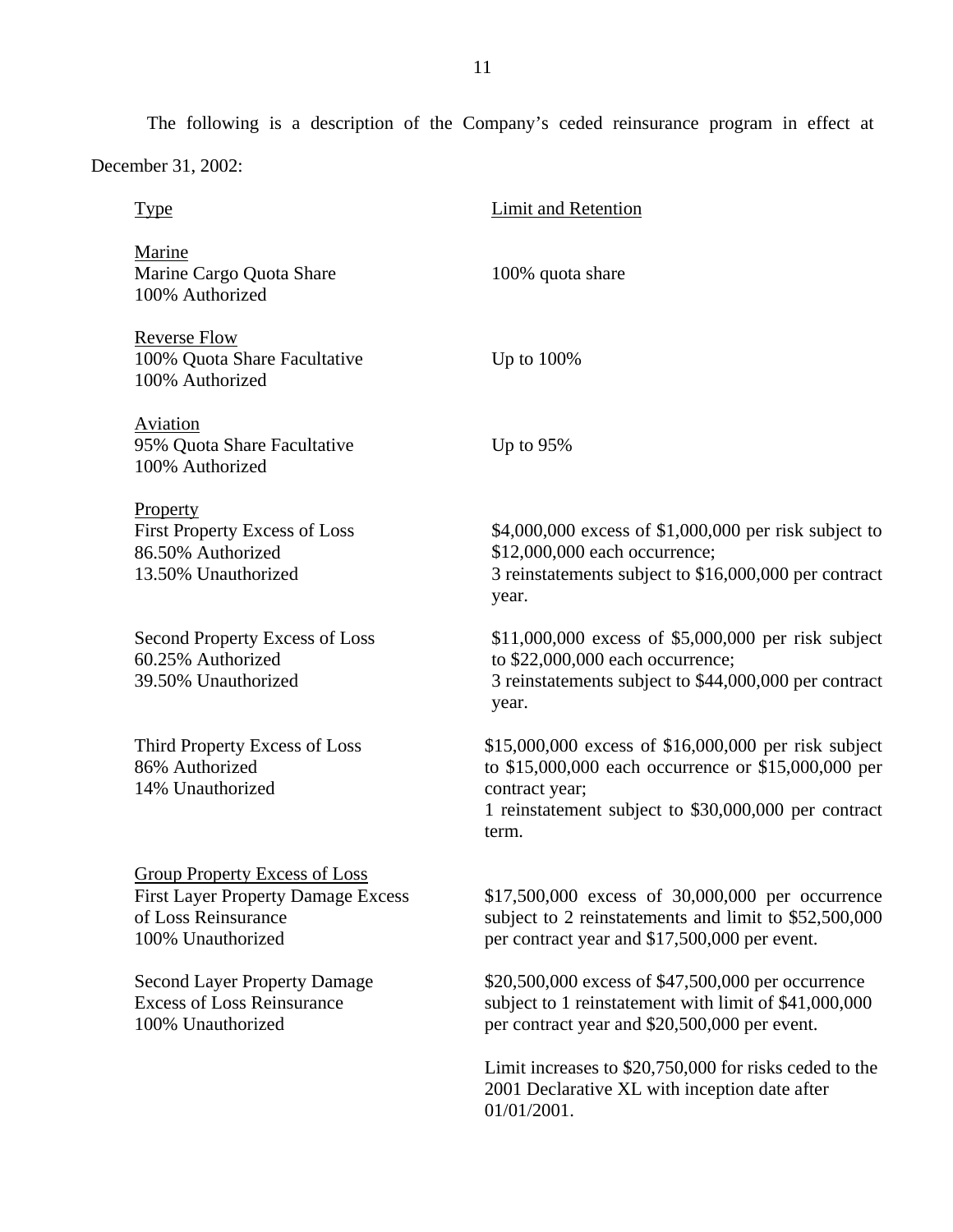The following is a description of the Company's ceded reinsurance program in effect at

December 31, 2002:

| <b>Type</b>                                                                                                            | <b>Limit and Retention</b>                                                                                                                                                                     |
|------------------------------------------------------------------------------------------------------------------------|------------------------------------------------------------------------------------------------------------------------------------------------------------------------------------------------|
| Marine<br>Marine Cargo Quota Share<br>100% Authorized                                                                  | 100% quota share                                                                                                                                                                               |
| <b>Reverse Flow</b><br>100% Quota Share Facultative<br>100% Authorized                                                 | Up to $100\%$                                                                                                                                                                                  |
| <b>Aviation</b><br>95% Quota Share Facultative<br>100% Authorized                                                      | Up to $95%$                                                                                                                                                                                    |
| Property<br><b>First Property Excess of Loss</b><br>86.50% Authorized<br>13.50% Unauthorized                           | \$4,000,000 excess of \$1,000,000 per risk subject to<br>\$12,000,000 each occurrence;<br>3 reinstatements subject to \$16,000,000 per contract<br>year.                                       |
| Second Property Excess of Loss<br>60.25% Authorized<br>39.50% Unauthorized                                             | \$11,000,000 excess of \$5,000,000 per risk subject<br>to \$22,000,000 each occurrence;<br>3 reinstatements subject to \$44,000,000 per contract<br>year.                                      |
| Third Property Excess of Loss<br>86% Authorized<br>14% Unauthorized                                                    | \$15,000,000 excess of \$16,000,000 per risk subject<br>to \$15,000,000 each occurrence or \$15,000,000 per<br>contract year;<br>1 reinstatement subject to \$30,000,000 per contract<br>term. |
| Group Property Excess of Loss<br><b>First Layer Property Damage Excess</b><br>of Loss Reinsurance<br>100% Unauthorized | \$17,500,000 excess of 30,000,000 per occurrence<br>subject to 2 reinstatements and limit to \$52,500,000<br>per contract year and \$17,500,000 per event.                                     |
| <b>Second Layer Property Damage</b><br><b>Excess of Loss Reinsurance</b><br>100% Unauthorized                          | \$20,500,000 excess of \$47,500,000 per occurrence<br>subject to 1 reinstatement with limit of \$41,000,000<br>per contract year and \$20,500,000 per event.                                   |
|                                                                                                                        | Limit increases to \$20,750,000 for risks ceded to the<br>2001 Declarative XL with inception date after<br>01/01/2001.                                                                         |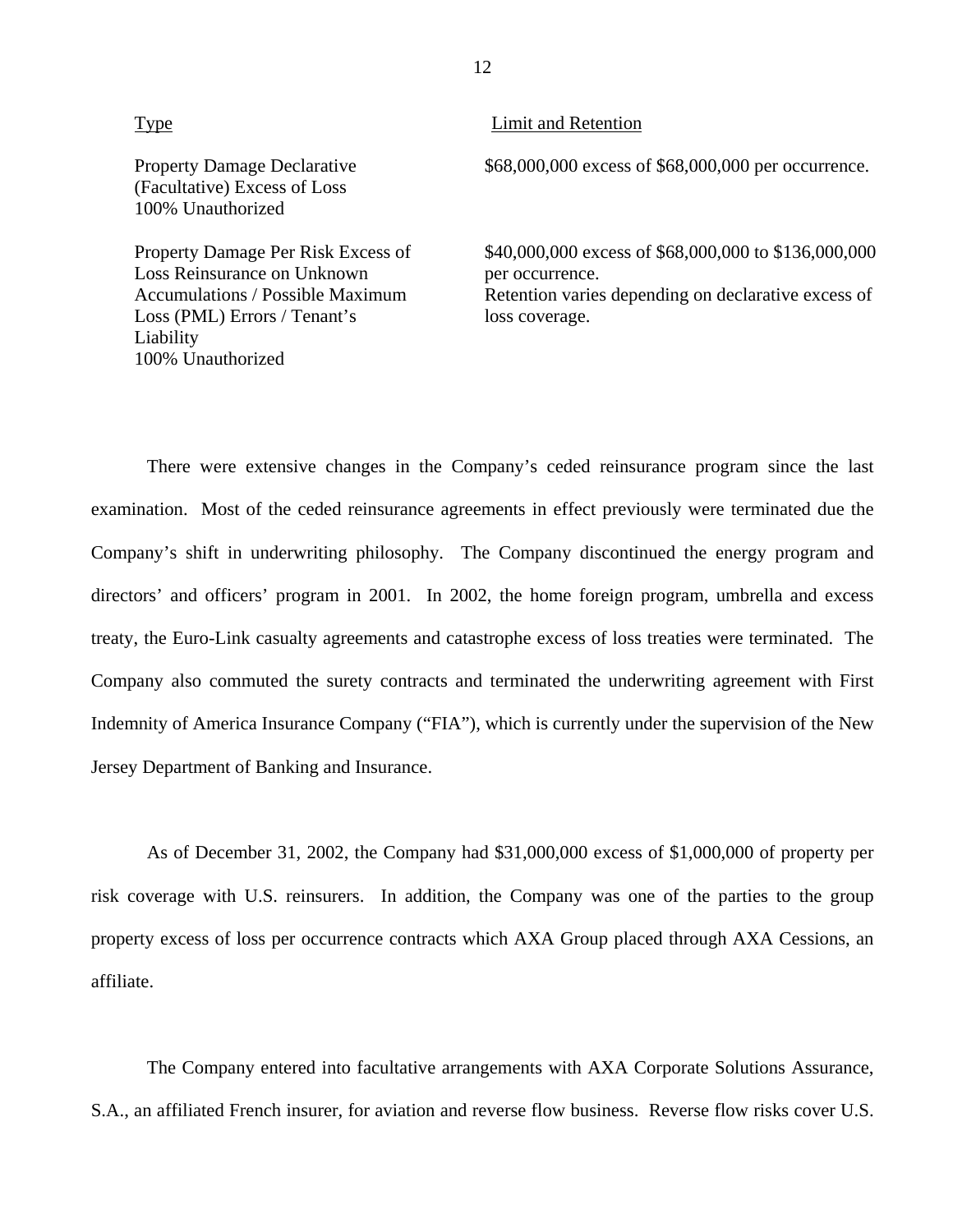| Type                                                                                                                                                      | Limit and Retention                                                                                                                              |
|-----------------------------------------------------------------------------------------------------------------------------------------------------------|--------------------------------------------------------------------------------------------------------------------------------------------------|
| <b>Property Damage Declarative</b><br>(Facultative) Excess of Loss<br>100% Unauthorized                                                                   | \$68,000,000 excess of \$68,000,000 per occurrence.                                                                                              |
| Property Damage Per Risk Excess of<br>Loss Reinsurance on Unknown<br><b>Accumulations / Possible Maximum</b><br>Loss (PML) Errors / Tenant's<br>Liability | \$40,000,000 excess of \$68,000,000 to \$136,000,000<br>per occurrence.<br>Retention varies depending on declarative excess of<br>loss coverage. |

100% Unauthorized

There were extensive changes in the Company's ceded reinsurance program since the last examination. Most of the ceded reinsurance agreements in effect previously were terminated due the Company's shift in underwriting philosophy. The Company discontinued the energy program and directors' and officers' program in 2001. In 2002, the home foreign program, umbrella and excess treaty, the Euro-Link casualty agreements and catastrophe excess of loss treaties were terminated. The Company also commuted the surety contracts and terminated the underwriting agreement with First Indemnity of America Insurance Company ("FIA"), which is currently under the supervision of the New Jersey Department of Banking and Insurance.

As of December 31, 2002, the Company had \$31,000,000 excess of \$1,000,000 of property per risk coverage with U.S. reinsurers. In addition, the Company was one of the parties to the group property excess of loss per occurrence contracts which AXA Group placed through AXA Cessions, an affiliate.

The Company entered into facultative arrangements with AXA Corporate Solutions Assurance, S.A., an affiliated French insurer, for aviation and reverse flow business. Reverse flow risks cover U.S.

12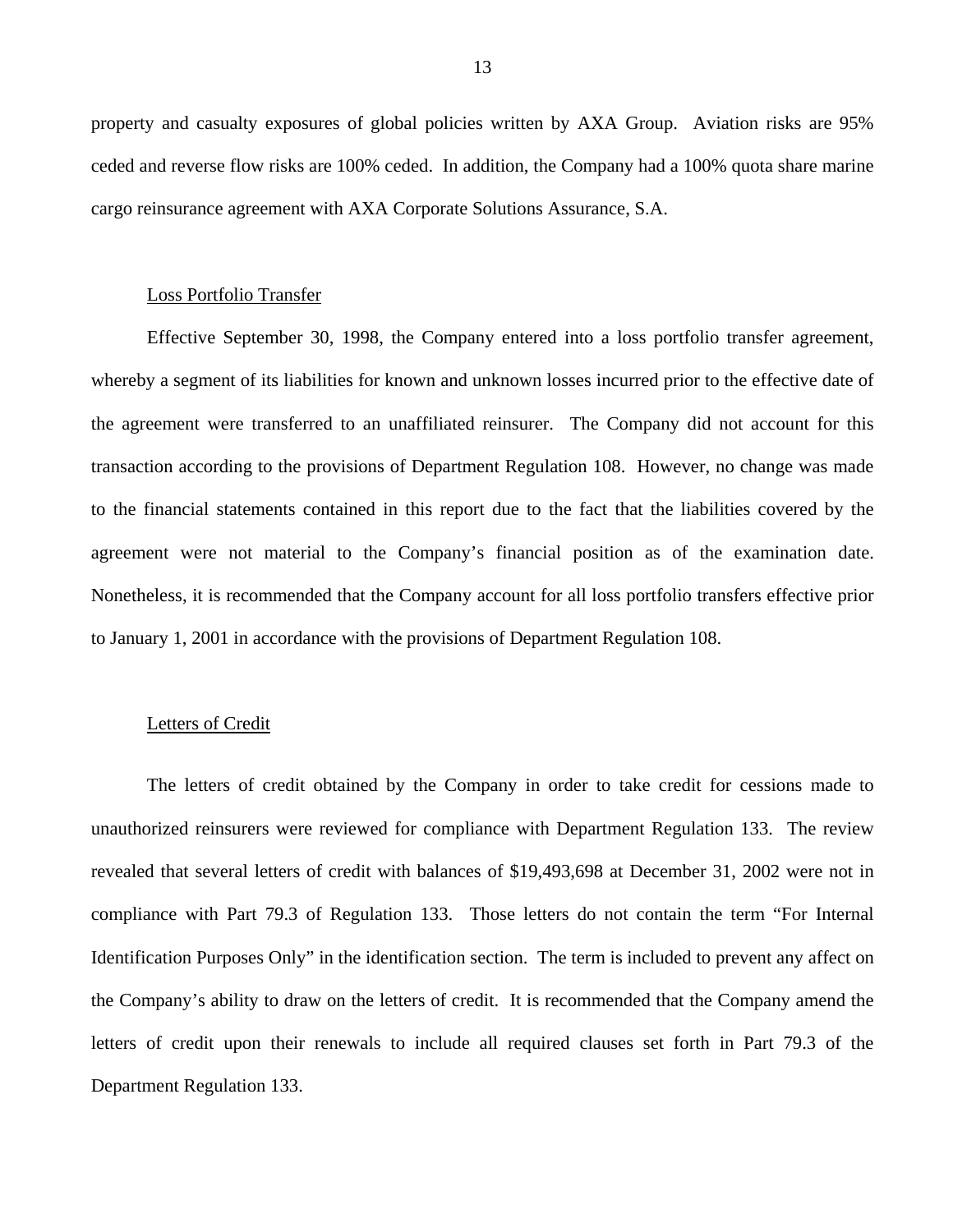property and casualty exposures of global policies written by AXA Group. Aviation risks are 95% ceded and reverse flow risks are 100% ceded. In addition, the Company had a 100% quota share marine cargo reinsurance agreement with AXA Corporate Solutions Assurance, S.A.

#### Loss Portfolio Transfer

 agreement were not material to the Company's financial position as of the examination date. Nonetheless, it is recommended that the Company account for all loss portfolio transfers effective prior Effective September 30, 1998, the Company entered into a loss portfolio transfer agreement, whereby a segment of its liabilities for known and unknown losses incurred prior to the effective date of the agreement were transferred to an unaffiliated reinsurer. The Company did not account for this transaction according to the provisions of Department Regulation 108. However, no change was made to the financial statements contained in this report due to the fact that the liabilities covered by the to January 1, 2001 in accordance with the provisions of Department Regulation 108.

#### Letters of Credit

The letters of credit obtained by the Company in order to take credit for cessions made to unauthorized reinsurers were reviewed for compliance with Department Regulation 133. The review revealed that several letters of credit with balances of \$19,493,698 at December 31, 2002 were not in compliance with Part 79.3 of Regulation 133. Those letters do not contain the term "For Internal Identification Purposes Only" in the identification section. The term is included to prevent any affect on the Company's ability to draw on the letters of credit. It is recommended that the Company amend the letters of credit upon their renewals to include all required clauses set forth in Part 79.3 of the Department Regulation 133.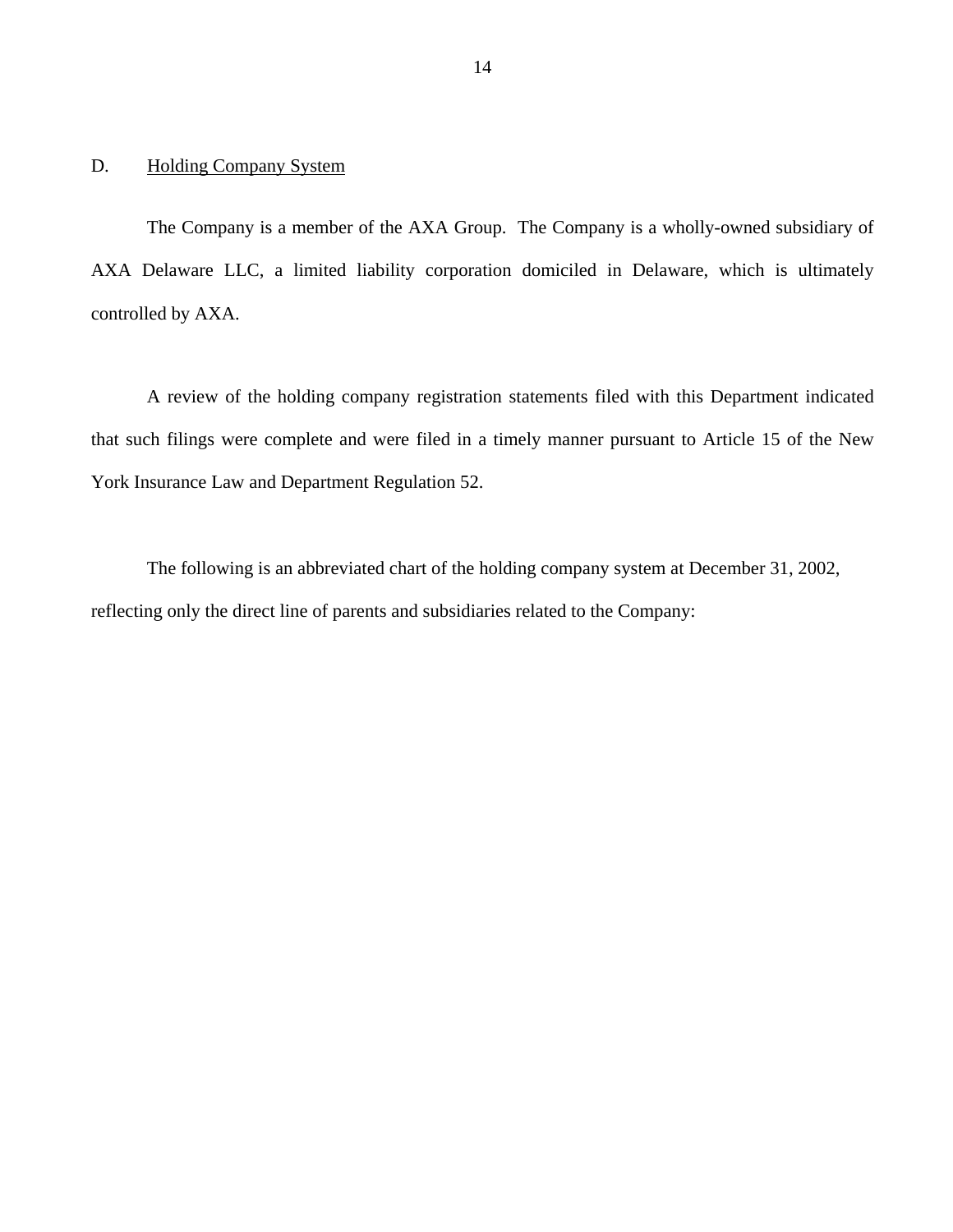### <span id="page-17-0"></span>D. Holding Company System

The Company is a member of the AXA Group. The Company is a wholly-owned subsidiary of AXA Delaware LLC, a limited liability corporation domiciled in Delaware, which is ultimately controlled by AXA.

A review of the holding company registration statements filed with this Department indicated that such filings were complete and were filed in a timely manner pursuant to Article 15 of the New York Insurance Law and Department Regulation 52.

The following is an abbreviated chart of the holding company system at December 31, 2002, reflecting only the direct line of parents and subsidiaries related to the Company: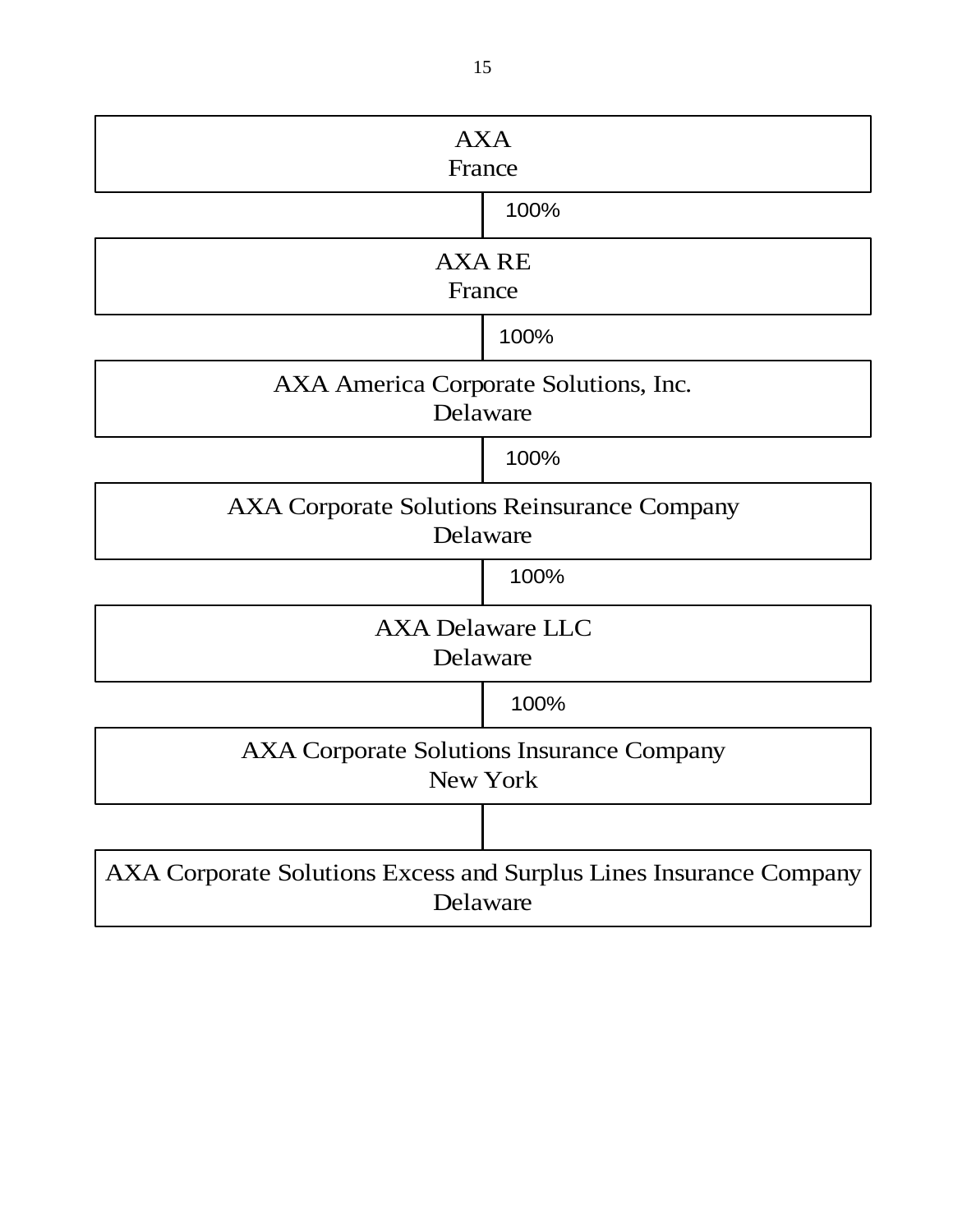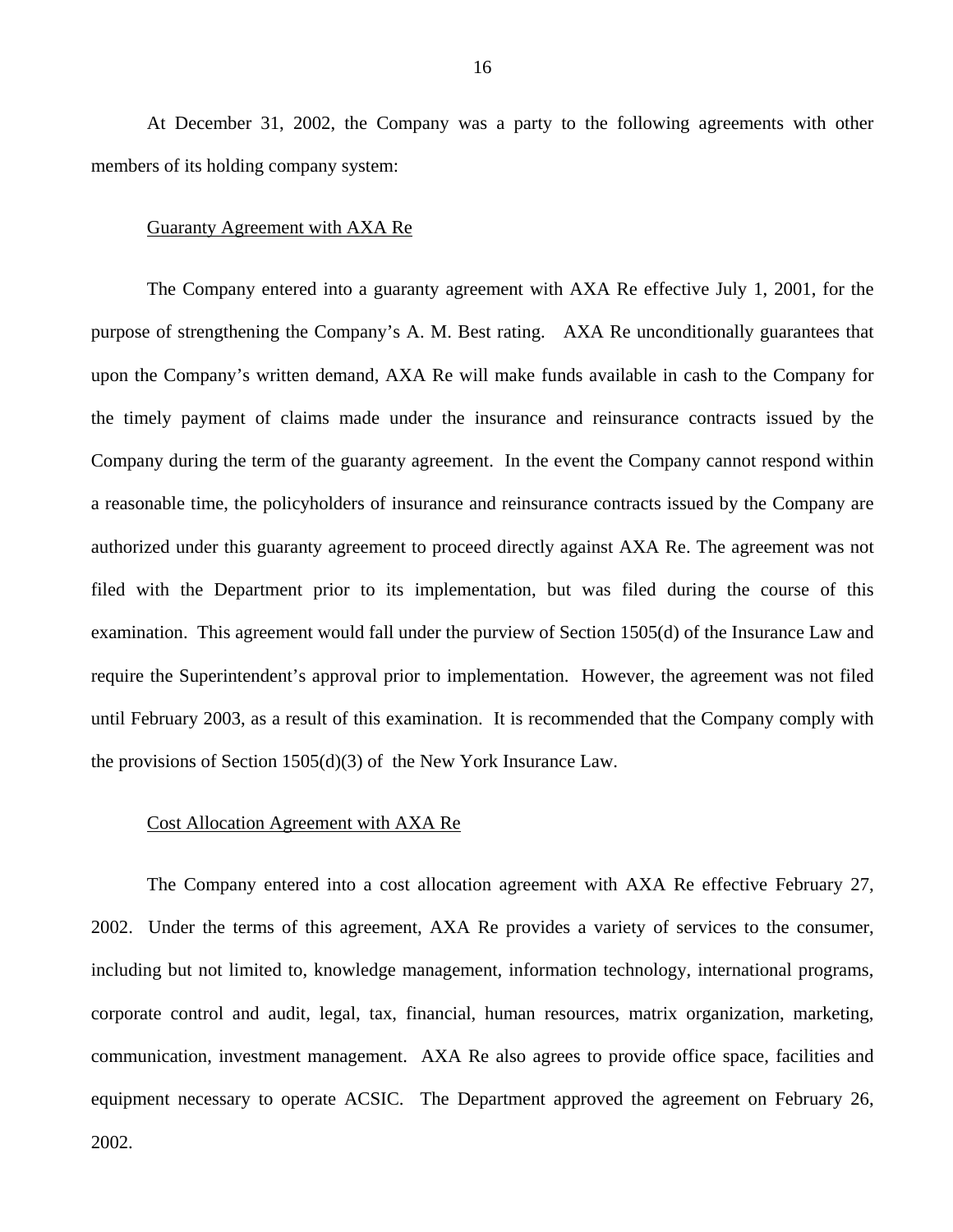At December 31, 2002, the Company was a party to the following agreements with other members of its holding company system:

#### Guaranty Agreement with AXA Re

The Company entered into a guaranty agreement with AXA Re effective July 1, 2001, for the purpose of strengthening the Company's A. M. Best rating. AXA Re unconditionally guarantees that upon the Company's written demand, AXA Re will make funds available in cash to the Company for the timely payment of claims made under the insurance and reinsurance contracts issued by the Company during the term of the guaranty agreement. In the event the Company cannot respond within a reasonable time, the policyholders of insurance and reinsurance contracts issued by the Company are authorized under this guaranty agreement to proceed directly against AXA Re. The agreement was not filed with the Department prior to its implementation, but was filed during the course of this examination. This agreement would fall under the purview of Section 1505(d) of the Insurance Law and require the Superintendent's approval prior to implementation. However, the agreement was not filed until February 2003, as a result of this examination. It is recommended that the Company comply with the provisions of Section 1505(d)(3) of the New York Insurance Law.

#### Cost Allocation Agreement with AXA Re

The Company entered into a cost allocation agreement with AXA Re effective February 27, 2002. Under the terms of this agreement, AXA Re provides a variety of services to the consumer, including but not limited to, knowledge management, information technology, international programs, corporate control and audit, legal, tax, financial, human resources, matrix organization, marketing, communication, investment management. AXA Re also agrees to provide office space, facilities and equipment necessary to operate ACSIC. The Department approved the agreement on February 26, 2002.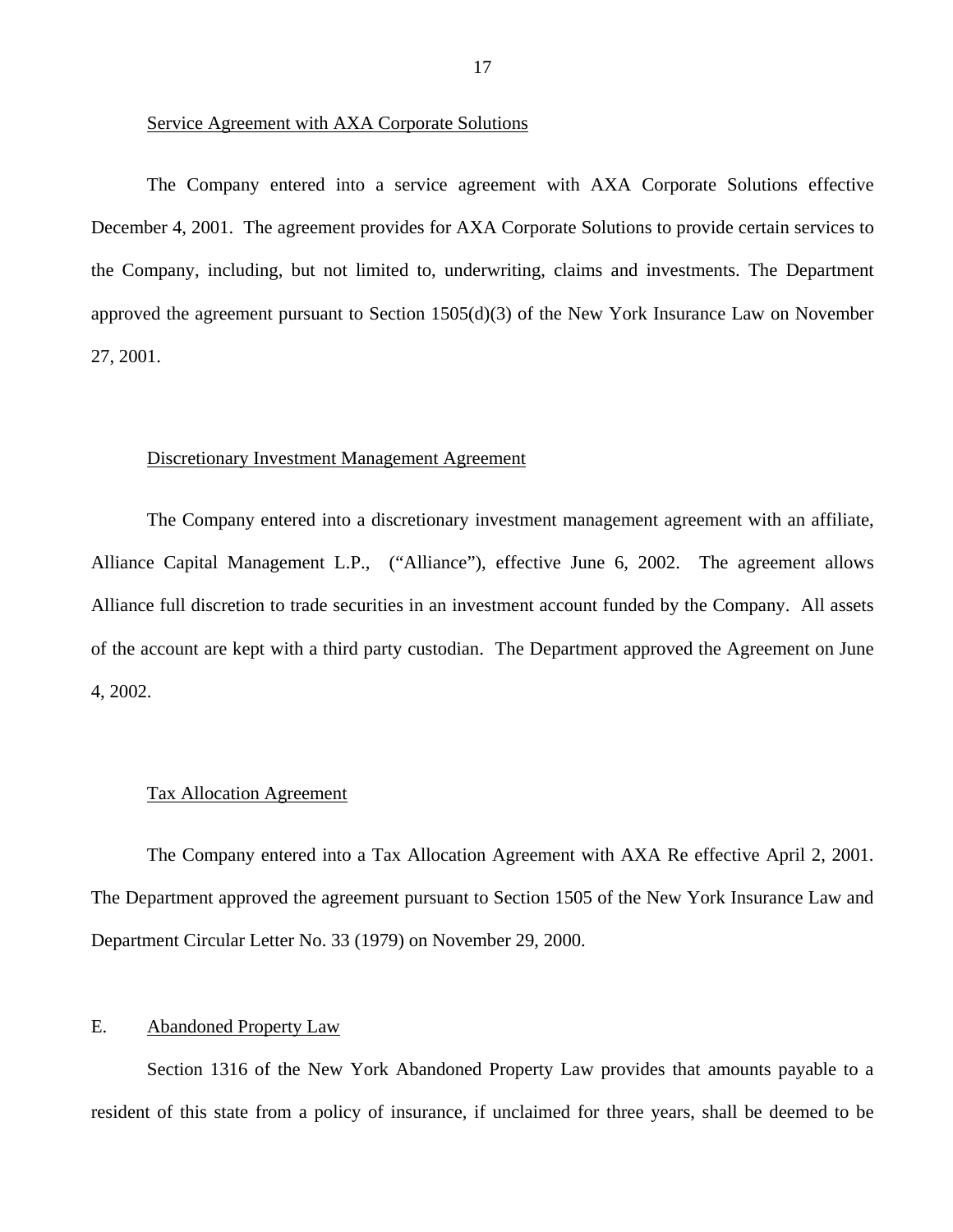#### <span id="page-20-0"></span>Service Agreement with AXA Corporate Solutions

The Company entered into a service agreement with AXA Corporate Solutions effective December 4, 2001. The agreement provides for AXA Corporate Solutions to provide certain services to the Company, including, but not limited to, underwriting, claims and investments. The Department approved the agreement pursuant to Section 1505(d)(3) of the New York Insurance Law on November 27, 2001.

#### Discretionary Investment Management Agreement

The Company entered into a discretionary investment management agreement with an affiliate, Alliance Capital Management L.P., ("Alliance"), effective June 6, 2002. The agreement allows Alliance full discretion to trade securities in an investment account funded by the Company. All assets of the account are kept with a third party custodian. The Department approved the Agreement on June 4, 2002.

#### Tax Allocation Agreement

The Company entered into a Tax Allocation Agreement with AXA Re effective April 2, 2001. The Department approved the agreement pursuant to Section 1505 of the New York Insurance Law and Department Circular Letter No. 33 (1979) on November 29, 2000.

### E. Abandoned Property Law

Section 1316 of the New York Abandoned Property Law provides that amounts payable to a resident of this state from a policy of insurance, if unclaimed for three years, shall be deemed to be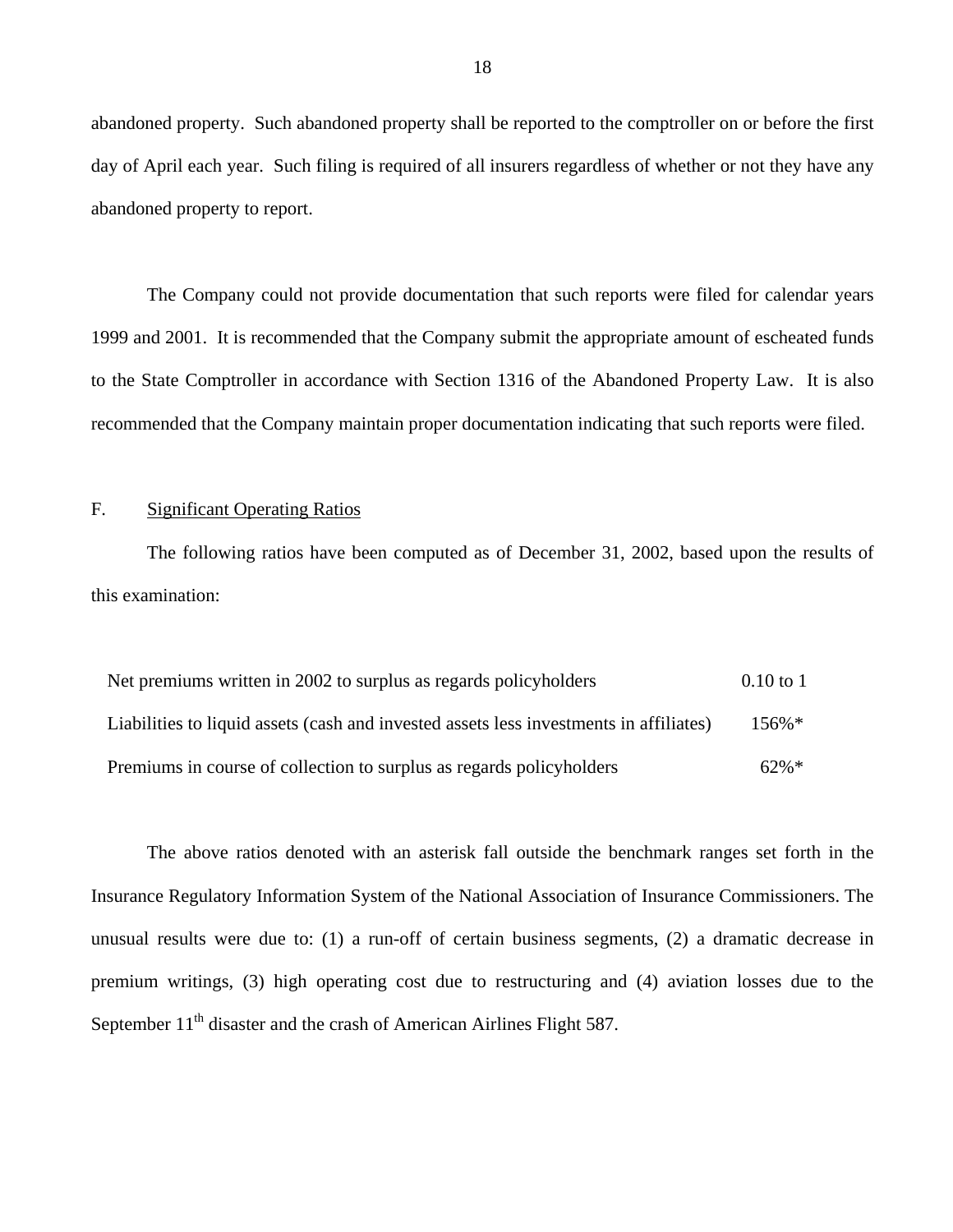abandoned property. Such abandoned property shall be reported to the comptroller on or before the first day of April each year. Such filing is required of all insurers regardless of whether or not they have any abandoned property to report.

The Company could not provide documentation that such reports were filed for calendar years 1999 and 2001. It is recommended that the Company submit the appropriate amount of escheated funds to the State Comptroller in accordance with Section 1316 of the Abandoned Property Law. It is also recommended that the Company maintain proper documentation indicating that such reports were filed.

#### F. Significant Operating Ratios

The following ratios have been computed as of December 31, 2002, based upon the results of this examination:

| Net premiums written in 2002 to surplus as regards policyholders                       | $0.10$ to 1 |
|----------------------------------------------------------------------------------------|-------------|
| Liabilities to liquid assets (cash and invested assets less investments in affiliates) | $156\%*$    |
| Premiums in course of collection to surplus as regards policyholders                   | $62\%*$     |

The above ratios denoted with an asterisk fall outside the benchmark ranges set forth in the Insurance Regulatory Information System of the National Association of Insurance Commissioners. The unusual results were due to: (1) a run-off of certain business segments, (2) a dramatic decrease in premium writings, (3) high operating cost due to restructuring and (4) aviation losses due to the September  $11<sup>th</sup>$  disaster and the crash of American Airlines Flight 587.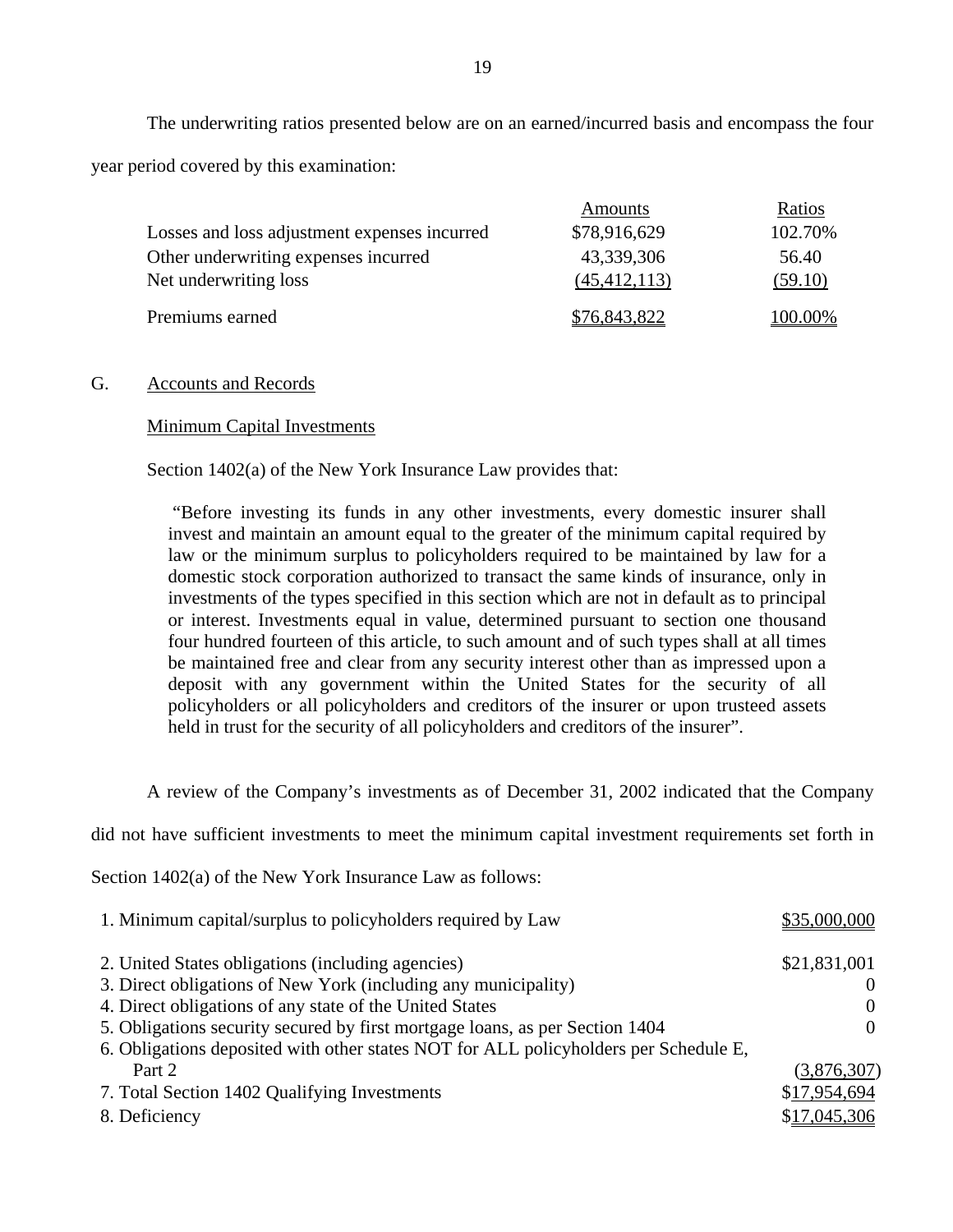The underwriting ratios presented below are on an earned/incurred basis and encompass the four year period covered by this examination:

|                                              | Amounts        | Ratios  |
|----------------------------------------------|----------------|---------|
| Losses and loss adjustment expenses incurred | \$78,916,629   | 102.70% |
| Other underwriting expenses incurred         | 43,339,306     | 56.40   |
| Net underwriting loss                        | (45, 412, 113) | (59.10) |
| Premiums earned                              | \$76,843,822   | 100.00% |

#### G. Accounts and Records

#### Minimum Capital Investments

Section 1402(a) of the New York Insurance Law provides that:

"Before investing its funds in any other investments, every domestic insurer shall invest and maintain an amount equal to the greater of the minimum capital required by law or the minimum surplus to policyholders required to be maintained by law for a domestic stock corporation authorized to transact the same kinds of insurance, only in investments of the types specified in this section which are not in default as to principal or interest. Investments equal in value, determined pursuant to section one thousand four hundred fourteen of this article, to such amount and of such types shall at all times be maintained free and clear from any security interest other than as impressed upon a deposit with any government within the United States for the security of all policyholders or all policyholders and creditors of the insurer or upon trusteed assets held in trust for the security of all policyholders and creditors of the insurer".

A review of the Company's investments as of December 31, 2002 indicated that the Company

did not have sufficient investments to meet the minimum capital investment requirements set forth in

Section 1402(a) of the New York Insurance Law as follows:

| 1. Minimum capital/surplus to policyholders required by Law                          | \$35,000,000 |
|--------------------------------------------------------------------------------------|--------------|
| 2. United States obligations (including agencies)                                    | \$21,831,001 |
| 3. Direct obligations of New York (including any municipality)                       |              |
| 4. Direct obligations of any state of the United States                              | $\Omega$     |
| 5. Obligations security secured by first mortgage loans, as per Section 1404         | $\Omega$     |
| 6. Obligations deposited with other states NOT for ALL policyholders per Schedule E, |              |
| Part 2                                                                               | (3,876,307)  |
| 7. Total Section 1402 Qualifying Investments                                         | \$17,954,694 |
| 8. Deficiency                                                                        | \$17,045,306 |
|                                                                                      |              |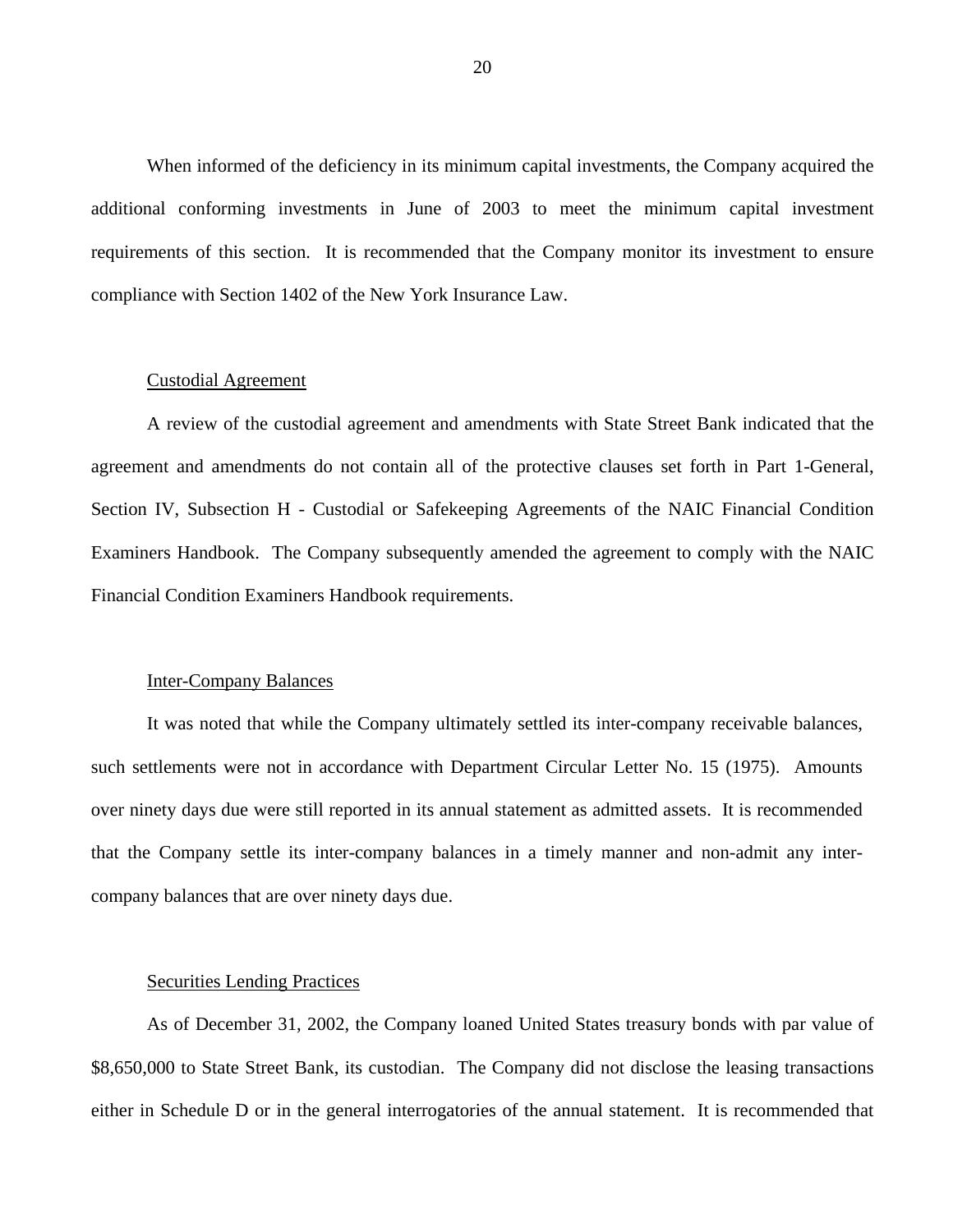When informed of the deficiency in its minimum capital investments, the Company acquired the additional conforming investments in June of 2003 to meet the minimum capital investment requirements of this section. It is recommended that the Company monitor its investment to ensure compliance with Section 1402 of the New York Insurance Law.

#### Custodial Agreement

A review of the custodial agreement and amendments with State Street Bank indicated that the agreement and amendments do not contain all of the protective clauses set forth in Part 1-General, Section IV, Subsection H - Custodial or Safekeeping Agreements of the NAIC Financial Condition Examiners Handbook. The Company subsequently amended the agreement to comply with the NAIC Financial Condition Examiners Handbook requirements.

#### Inter-Company Balances

It was noted that while the Company ultimately settled its inter-company receivable balances, such settlements were not in accordance with Department Circular Letter No. 15 (1975). Amounts over ninety days due were still reported in its annual statement as admitted assets. It is recommended that the Company settle its inter-company balances in a timely manner and non-admit any intercompany balances that are over ninety days due.

#### Securities Lending Practices

As of December 31, 2002, the Company loaned United States treasury bonds with par value of \$8,650,000 to State Street Bank, its custodian. The Company did not disclose the leasing transactions either in Schedule D or in the general interrogatories of the annual statement. It is recommended that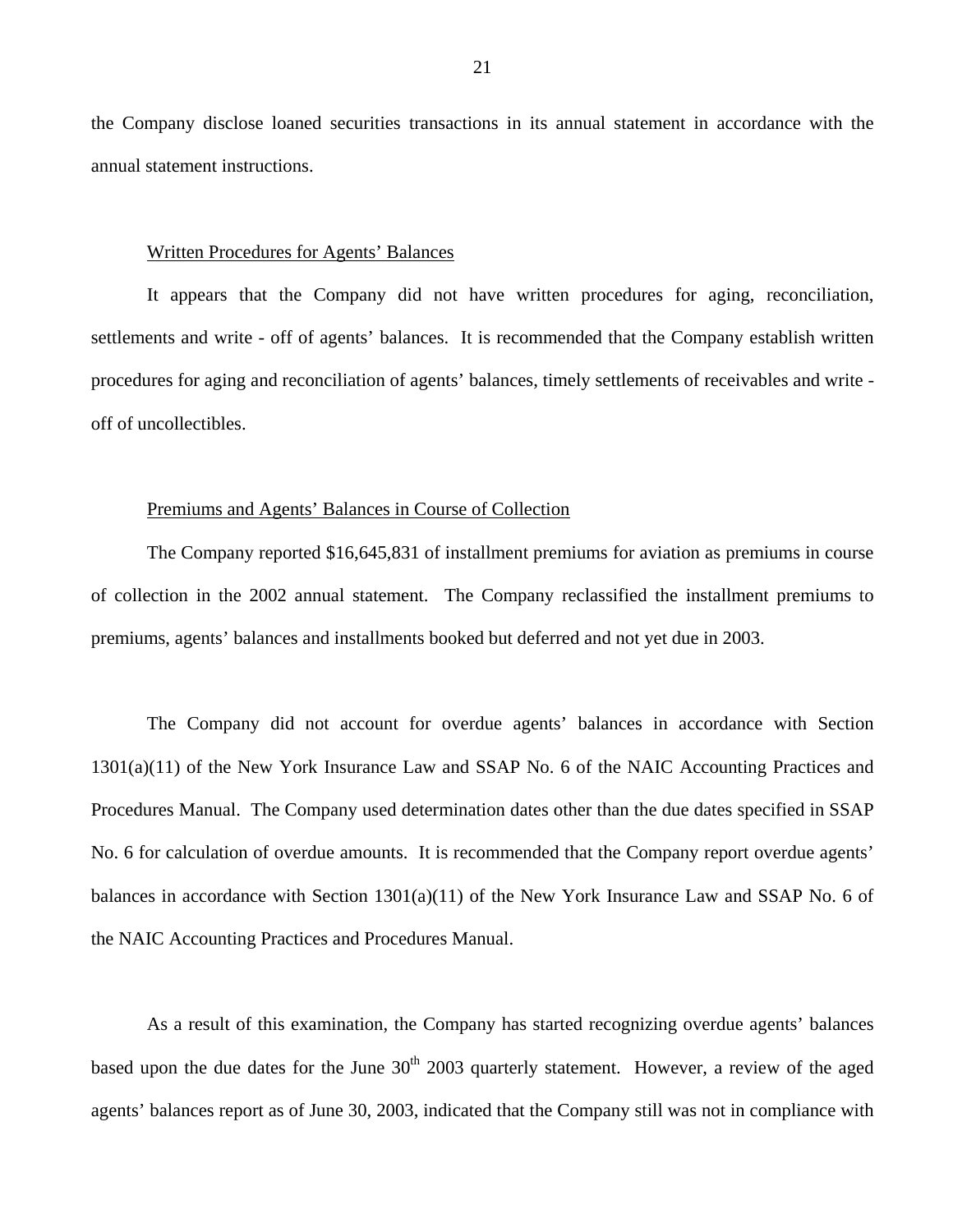the Company disclose loaned securities transactions in its annual statement in accordance with the annual statement instructions.

#### Written Procedures for Agents' Balances

It appears that the Company did not have written procedures for aging, reconciliation, settlements and write - off of agents' balances. It is recommended that the Company establish written procedures for aging and reconciliation of agents' balances, timely settlements of receivables and write off of uncollectibles.

#### Premiums and Agents' Balances in Course of Collection

The Company reported \$16,645,831 of installment premiums for aviation as premiums in course of collection in the 2002 annual statement. The Company reclassified the installment premiums to premiums, agents' balances and installments booked but deferred and not yet due in 2003.

The Company did not account for overdue agents' balances in accordance with Section 1301(a)(11) of the New York Insurance Law and SSAP No. 6 of the NAIC Accounting Practices and Procedures Manual. The Company used determination dates other than the due dates specified in SSAP No. 6 for calculation of overdue amounts. It is recommended that the Company report overdue agents' balances in accordance with Section  $1301(a)(11)$  of the New York Insurance Law and SSAP No. 6 of the NAIC Accounting Practices and Procedures Manual.

As a result of this examination, the Company has started recognizing overdue agents' balances based upon the due dates for the June 30<sup>th</sup> 2003 quarterly statement. However, a review of the aged agents' balances report as of June 30, 2003, indicated that the Company still was not in compliance with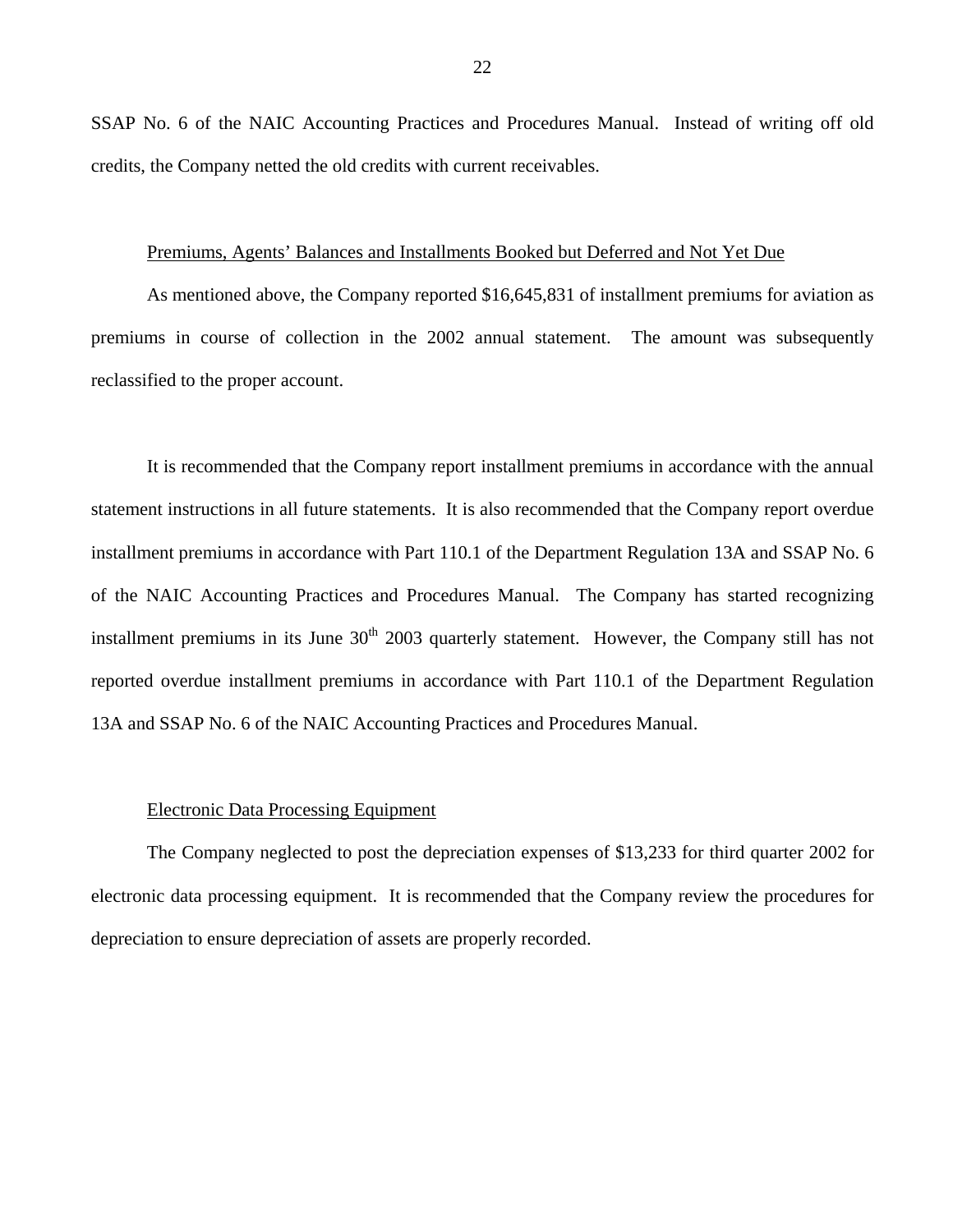SSAP No. 6 of the NAIC Accounting Practices and Procedures Manual. Instead of writing off old credits, the Company netted the old credits with current receivables.

#### Premiums, Agents' Balances and Installments Booked but Deferred and Not Yet Due

As mentioned above, the Company reported \$16,645,831 of installment premiums for aviation as premiums in course of collection in the 2002 annual statement. The amount was subsequently reclassified to the proper account.

It is recommended that the Company report installment premiums in accordance with the annual statement instructions in all future statements. It is also recommended that the Company report overdue installment premiums in accordance with Part 110.1 of the Department Regulation 13A and SSAP No. 6 of the NAIC Accounting Practices and Procedures Manual. The Company has started recognizing installment premiums in its June  $30<sup>th</sup>$  2003 quarterly statement. However, the Company still has not reported overdue installment premiums in accordance with Part 110.1 of the Department Regulation 13A and SSAP No. 6 of the NAIC Accounting Practices and Procedures Manual.

#### Electronic Data Processing Equipment

The Company neglected to post the depreciation expenses of \$13,233 for third quarter 2002 for electronic data processing equipment. It is recommended that the Company review the procedures for depreciation to ensure depreciation of assets are properly recorded.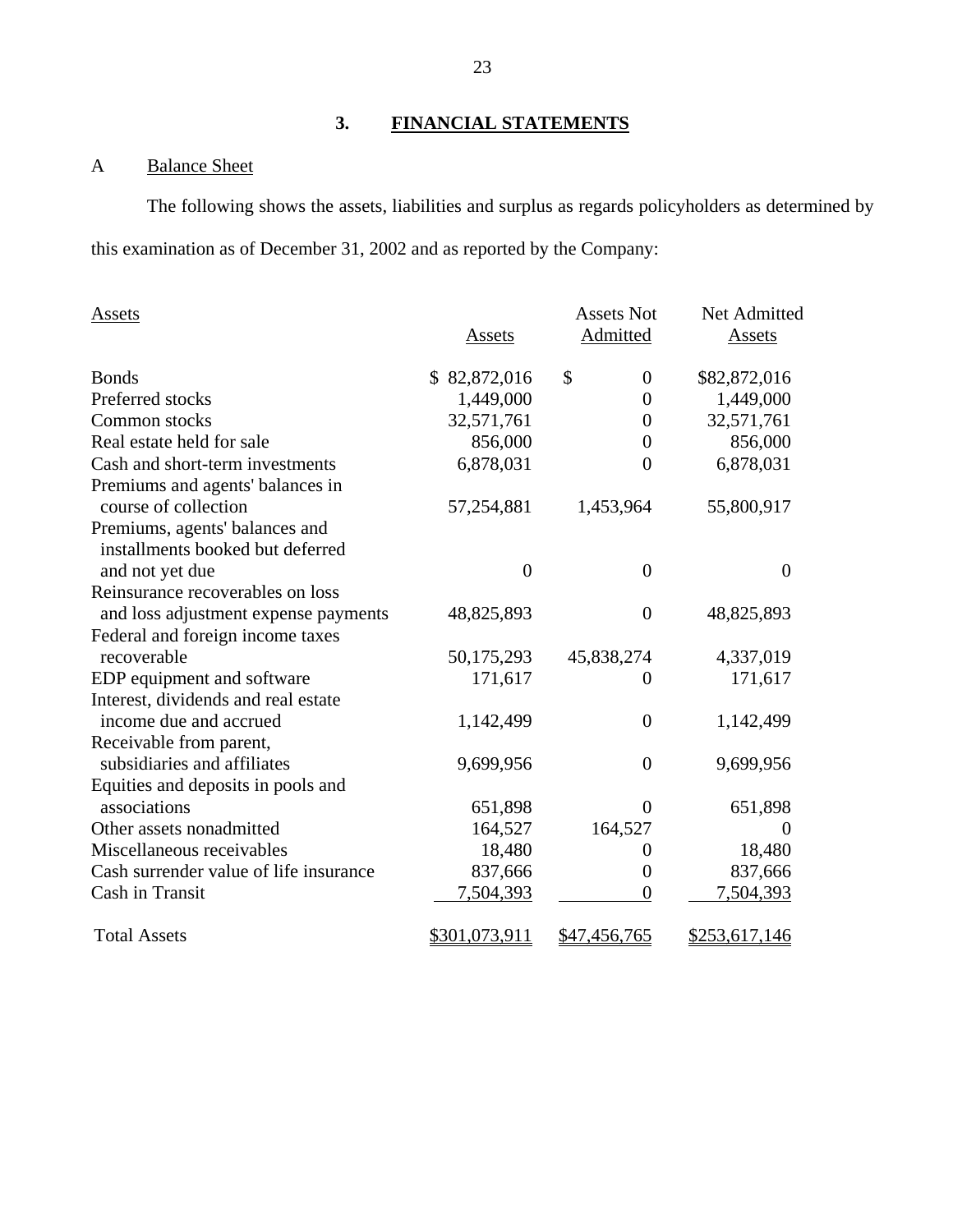### **3. FINANCIAL STATEMENTS**

### A Balance Sheet

The following shows the assets, liabilities and surplus as regards policyholders as determined by this examination as of December 31, 2002 and as reported by the Company:

| Assets                                 |                | <b>Assets Not</b>    | Net Admitted   |
|----------------------------------------|----------------|----------------------|----------------|
|                                        | Assets         | Admitted             | Assets         |
| <b>Bonds</b>                           | \$82,872,016   | \$<br>$\overline{0}$ | \$82,872,016   |
| Preferred stocks                       | 1,449,000      | $\overline{0}$       | 1,449,000      |
| Common stocks                          | 32,571,761     | $\boldsymbol{0}$     | 32,571,761     |
| Real estate held for sale              | 856,000        | $\overline{0}$       | 856,000        |
| Cash and short-term investments        | 6,878,031      | $\overline{0}$       | 6,878,031      |
| Premiums and agents' balances in       |                |                      |                |
| course of collection                   | 57,254,881     | 1,453,964            | 55,800,917     |
| Premiums, agents' balances and         |                |                      |                |
| installments booked but deferred       |                |                      |                |
| and not yet due                        | $\overline{0}$ | $\overline{0}$       | $\overline{0}$ |
| Reinsurance recoverables on loss       |                |                      |                |
| and loss adjustment expense payments   | 48,825,893     | $\boldsymbol{0}$     | 48,825,893     |
| Federal and foreign income taxes       |                |                      |                |
| recoverable                            | 50,175,293     | 45,838,274           | 4,337,019      |
| EDP equipment and software             | 171,617        | 0                    | 171,617        |
| Interest, dividends and real estate    |                |                      |                |
| income due and accrued                 | 1,142,499      | $\overline{0}$       | 1,142,499      |
| Receivable from parent,                |                |                      |                |
| subsidiaries and affiliates            | 9,699,956      | $\boldsymbol{0}$     | 9,699,956      |
| Equities and deposits in pools and     |                |                      |                |
| associations                           | 651,898        | $\theta$             | 651,898        |
| Other assets nonadmitted               | 164,527        | 164,527              | $\Omega$       |
| Miscellaneous receivables              | 18,480         | 0                    | 18,480         |
| Cash surrender value of life insurance | 837,666        | $\overline{0}$       | 837,666        |
| Cash in Transit                        | 7,504,393      | $\overline{0}$       | 7,504,393      |
| <b>Total Assets</b>                    | \$301,073,911  | \$47,456,765         | \$253,617,146  |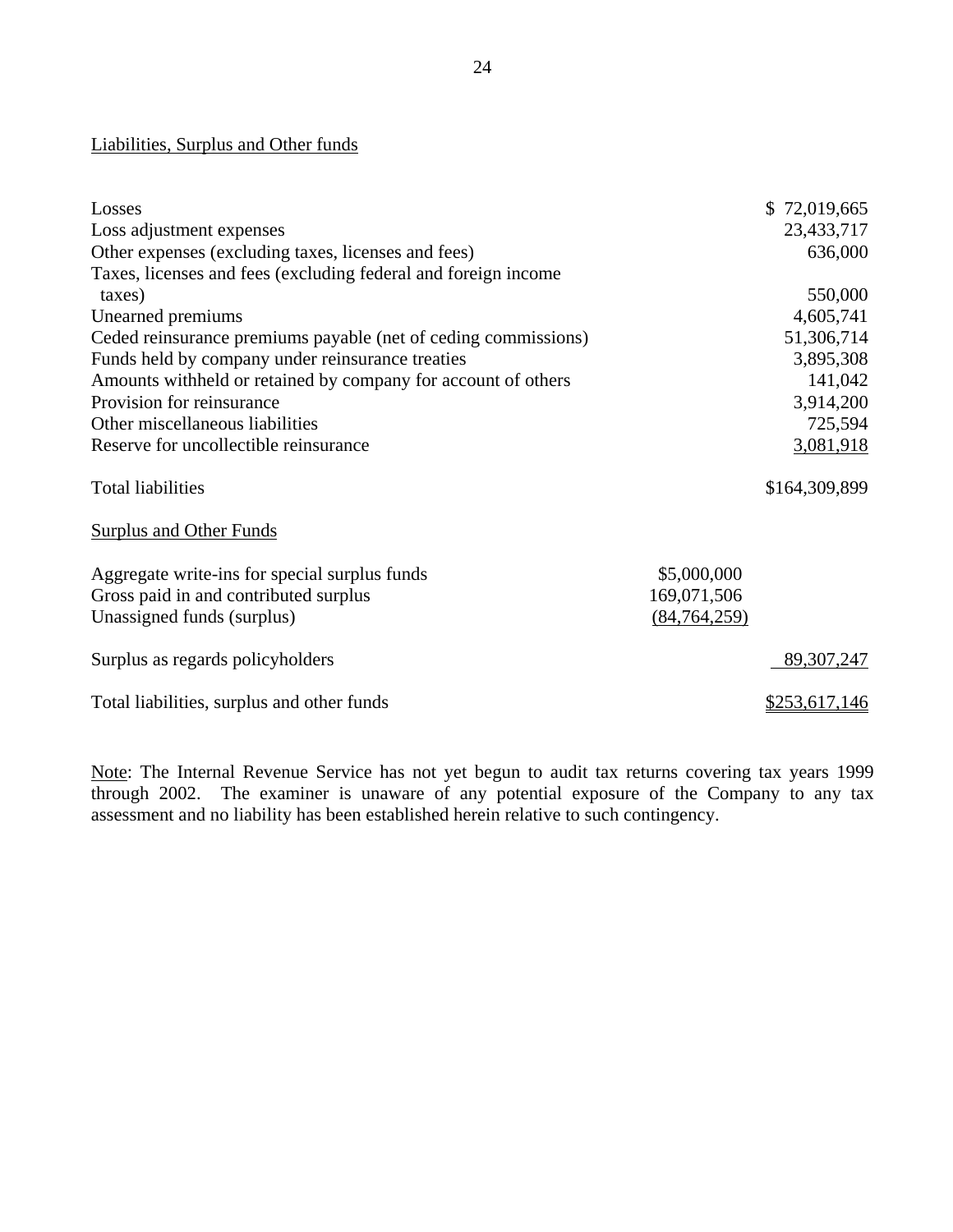| Liabilities, Surplus and Other funds                           |                |               |
|----------------------------------------------------------------|----------------|---------------|
|                                                                |                |               |
| Losses                                                         |                | \$72,019,665  |
| Loss adjustment expenses                                       |                | 23,433,717    |
| Other expenses (excluding taxes, licenses and fees)            |                | 636,000       |
| Taxes, licenses and fees (excluding federal and foreign income |                |               |
| taxes)                                                         |                | 550,000       |
| Unearned premiums                                              |                | 4,605,741     |
| Ceded reinsurance premiums payable (net of ceding commissions) |                | 51,306,714    |
| Funds held by company under reinsurance treaties               |                | 3,895,308     |
| Amounts withheld or retained by company for account of others  |                | 141,042       |
| Provision for reinsurance                                      |                | 3,914,200     |
| Other miscellaneous liabilities                                |                | 725,594       |
| Reserve for uncollectible reinsurance                          |                | 3,081,918     |
| <b>Total liabilities</b>                                       |                | \$164,309,899 |
| <b>Surplus and Other Funds</b>                                 |                |               |
| Aggregate write-ins for special surplus funds                  | \$5,000,000    |               |
| Gross paid in and contributed surplus                          | 169,071,506    |               |
| Unassigned funds (surplus)                                     | (84, 764, 259) |               |
| Surplus as regards policyholders                               |                | 89, 307, 247  |
| Total liabilities, surplus and other funds                     |                | \$253,617,146 |

Note: The Internal Revenue Service has not yet begun to audit tax returns covering tax years 1999 through 2002. The examiner is unaware of any potential exposure of the Company to any tax assessment and no liability has been established herein relative to such contingency.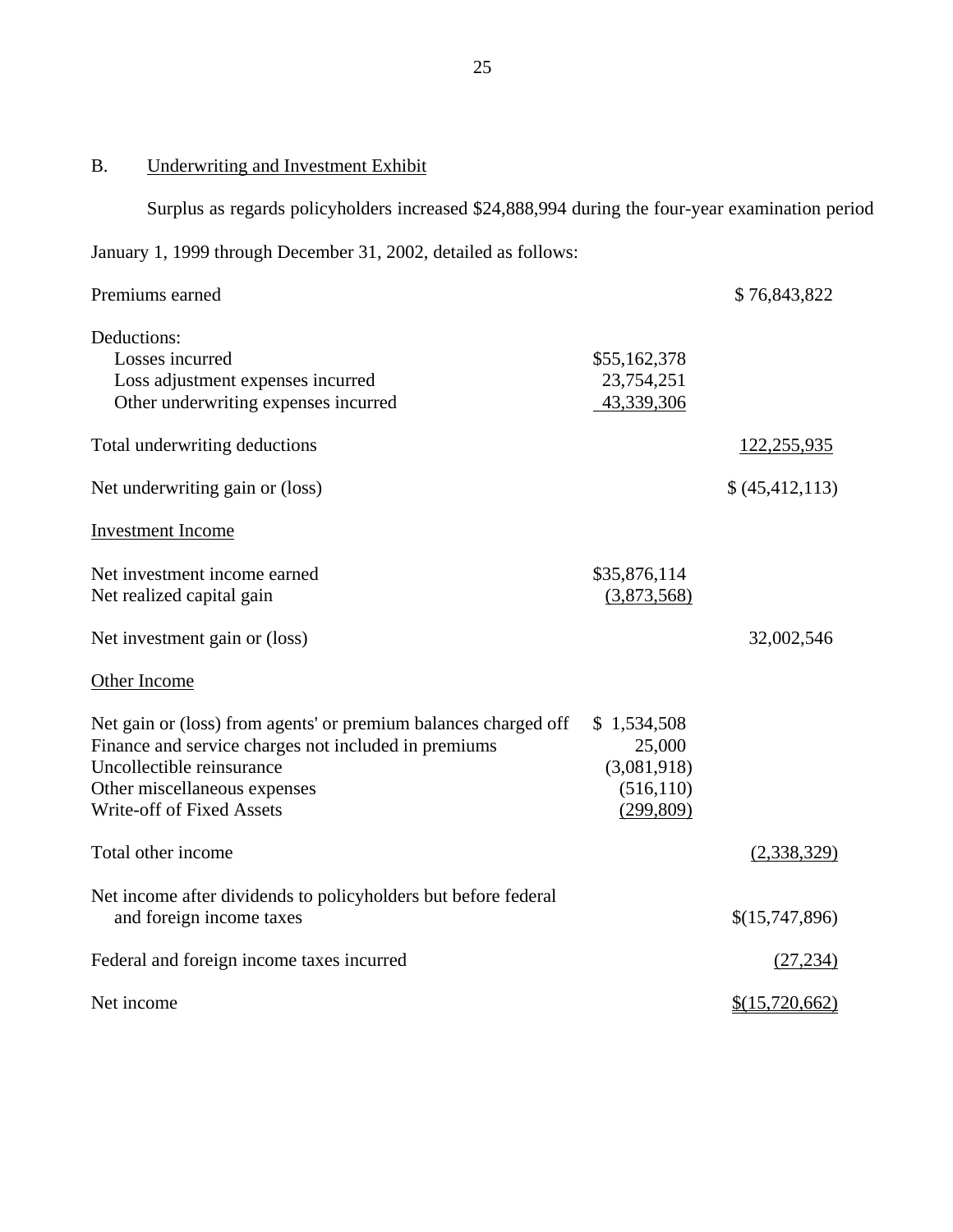B. Underwriting and Investment Exhibit

Surplus as regards policyholders increased \$24,888,994 during the four-year examination period

January 1, 1999 through December 31, 2002, detailed as follows:

| Premiums earned                                                                                                                                                                                                   |                                                                  | \$76,843,822      |
|-------------------------------------------------------------------------------------------------------------------------------------------------------------------------------------------------------------------|------------------------------------------------------------------|-------------------|
| Deductions:<br>Losses incurred<br>Loss adjustment expenses incurred<br>Other underwriting expenses incurred                                                                                                       | \$55,162,378<br>23,754,251<br>43,339,306                         |                   |
| Total underwriting deductions                                                                                                                                                                                     |                                                                  | 122,255,935       |
| Net underwriting gain or (loss)                                                                                                                                                                                   |                                                                  | \$ (45, 412, 113) |
| <b>Investment Income</b>                                                                                                                                                                                          |                                                                  |                   |
| Net investment income earned<br>Net realized capital gain                                                                                                                                                         | \$35,876,114<br>(3,873,568)                                      |                   |
| Net investment gain or (loss)                                                                                                                                                                                     |                                                                  | 32,002,546        |
| Other Income                                                                                                                                                                                                      |                                                                  |                   |
| Net gain or (loss) from agents' or premium balances charged off<br>Finance and service charges not included in premiums<br>Uncollectible reinsurance<br>Other miscellaneous expenses<br>Write-off of Fixed Assets | \$1,534,508<br>25,000<br>(3,081,918)<br>(516, 110)<br>(299, 809) |                   |
| Total other income                                                                                                                                                                                                |                                                                  | (2,338,329)       |
| Net income after dividends to policyholders but before federal<br>and foreign income taxes                                                                                                                        |                                                                  | \$(15,747,896)    |
| Federal and foreign income taxes incurred                                                                                                                                                                         |                                                                  | (27, 234)         |
| Net income                                                                                                                                                                                                        |                                                                  | \$(15,720,662)    |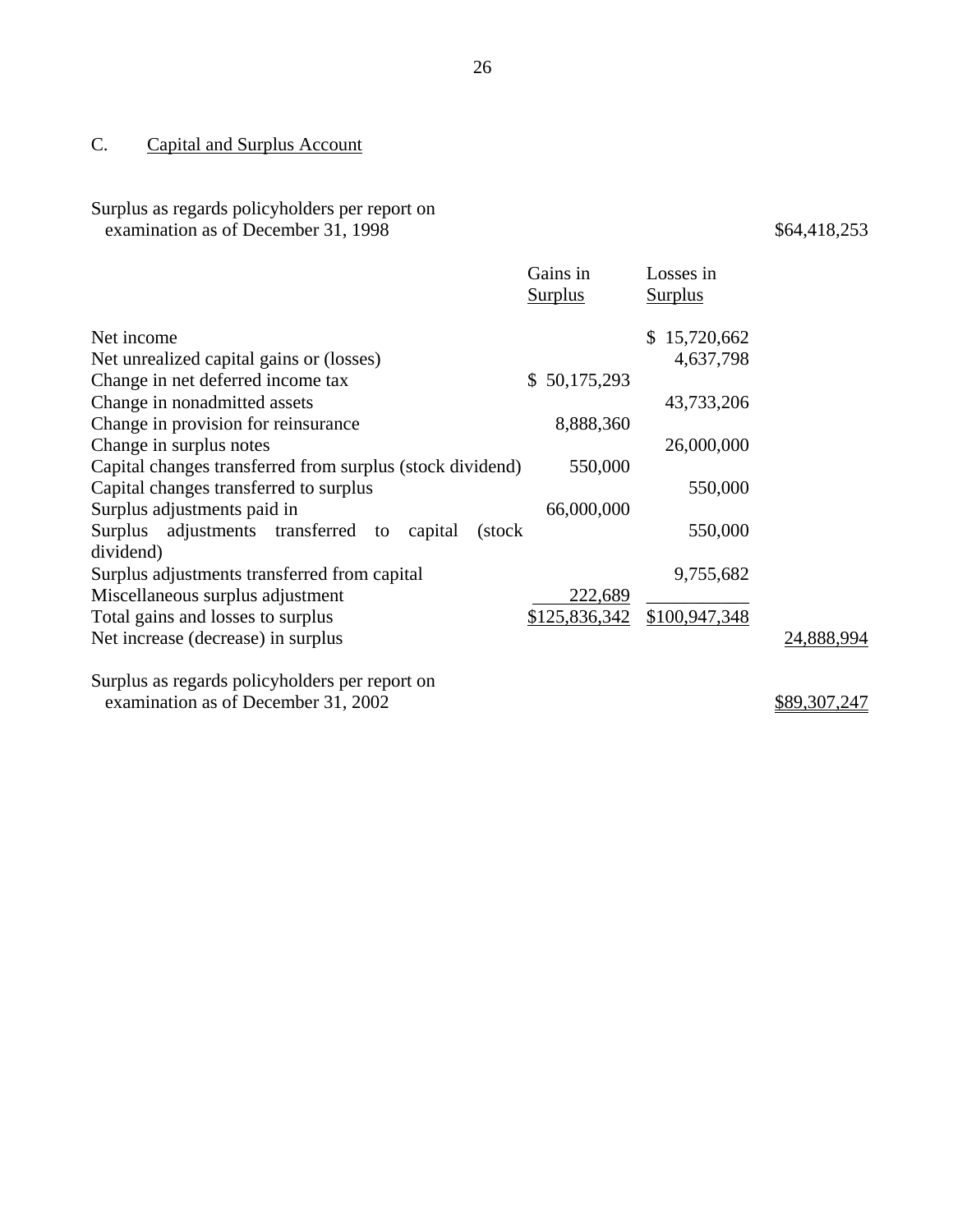### C. Capital and Surplus Account

# Surplus as regards policyholders per report on

examination as of December 31, 1998  $$64,418,253$ 

|                                                             | Gains in<br><b>Surplus</b> | Losses in<br><b>Surplus</b> |            |
|-------------------------------------------------------------|----------------------------|-----------------------------|------------|
| Net income                                                  |                            | \$15,720,662                |            |
| Net unrealized capital gains or (losses)                    |                            | 4,637,798                   |            |
| Change in net deferred income tax                           | 50,175,293<br>\$           |                             |            |
| Change in nonadmitted assets                                |                            | 43,733,206                  |            |
| Change in provision for reinsurance                         | 8,888,360                  |                             |            |
| Change in surplus notes                                     |                            | 26,000,000                  |            |
| Capital changes transferred from surplus (stock dividend)   | 550,000                    |                             |            |
| Capital changes transferred to surplus                      |                            | 550,000                     |            |
| Surplus adjustments paid in                                 | 66,000,000                 |                             |            |
| Surplus adjustments transferred<br>capital<br>to<br>(stock) |                            | 550,000                     |            |
| dividend)                                                   |                            |                             |            |
| Surplus adjustments transferred from capital                |                            | 9,755,682                   |            |
| Miscellaneous surplus adjustment                            | 222,689                    |                             |            |
| Total gains and losses to surplus                           | \$125,836,342              | \$100,947,348               |            |
| Net increase (decrease) in surplus                          |                            |                             | 24,888,994 |
| Surplus as regards policyholders per report on              |                            |                             |            |

examination as of December 31, 2002  $$89,307,247$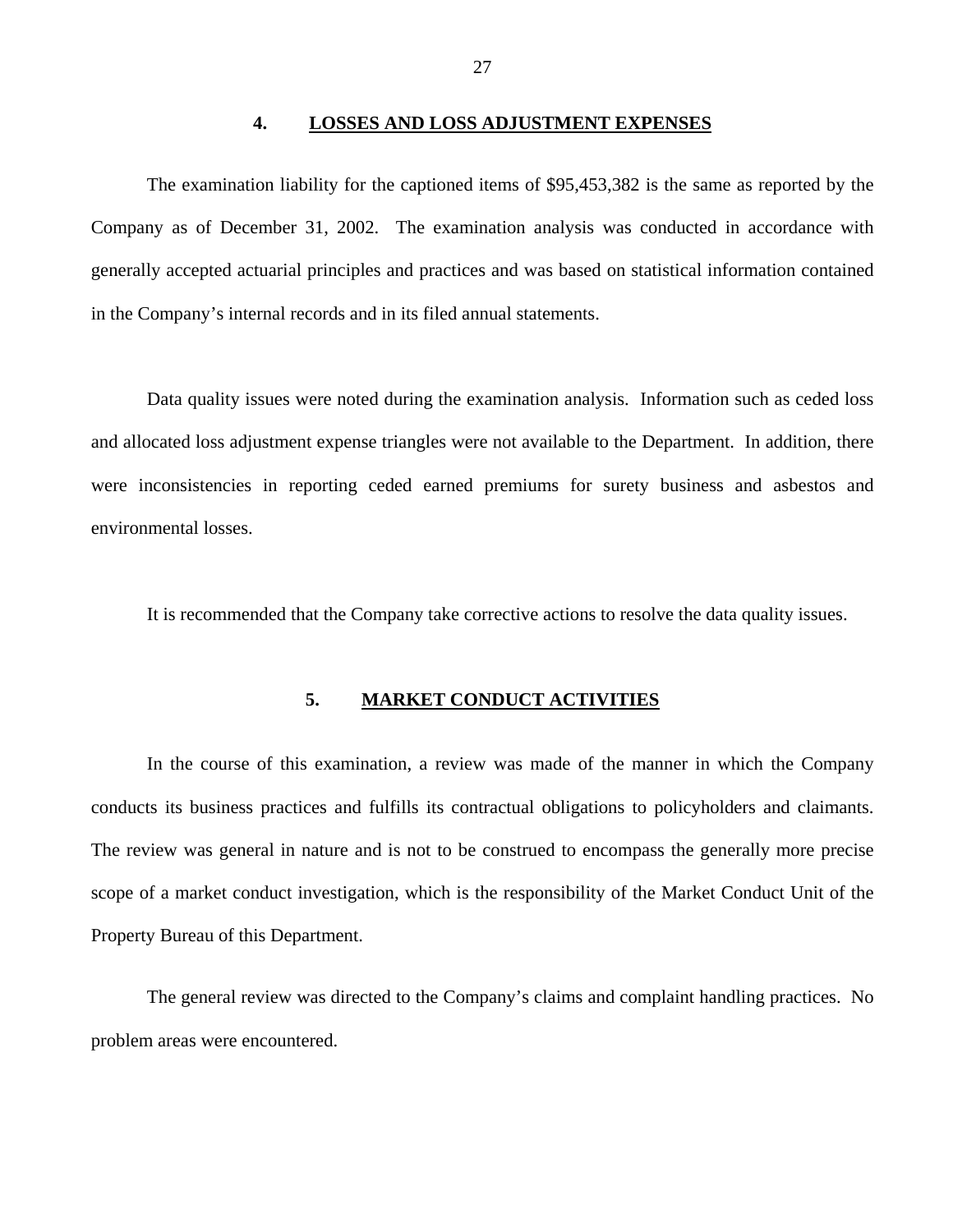#### **4. LOSSES AND LOSS ADJUSTMENT EXPENSES**

<span id="page-30-0"></span>The examination liability for the captioned items of \$95,453,382 is the same as reported by the Company as of December 31, 2002. The examination analysis was conducted in accordance with generally accepted actuarial principles and practices and was based on statistical information contained in the Company's internal records and in its filed annual statements.

Data quality issues were noted during the examination analysis. Information such as ceded loss and allocated loss adjustment expense triangles were not available to the Department. In addition, there were inconsistencies in reporting ceded earned premiums for surety business and asbestos and environmental losses.

It is recommended that the Company take corrective actions to resolve the data quality issues.

#### **5. MARKET CONDUCT ACTIVITIES**

In the course of this examination, a review was made of the manner in which the Company conducts its business practices and fulfills its contractual obligations to policyholders and claimants. The review was general in nature and is not to be construed to encompass the generally more precise scope of a market conduct investigation, which is the responsibility of the Market Conduct Unit of the Property Bureau of this Department.

The general review was directed to the Company's claims and complaint handling practices. No problem areas were encountered.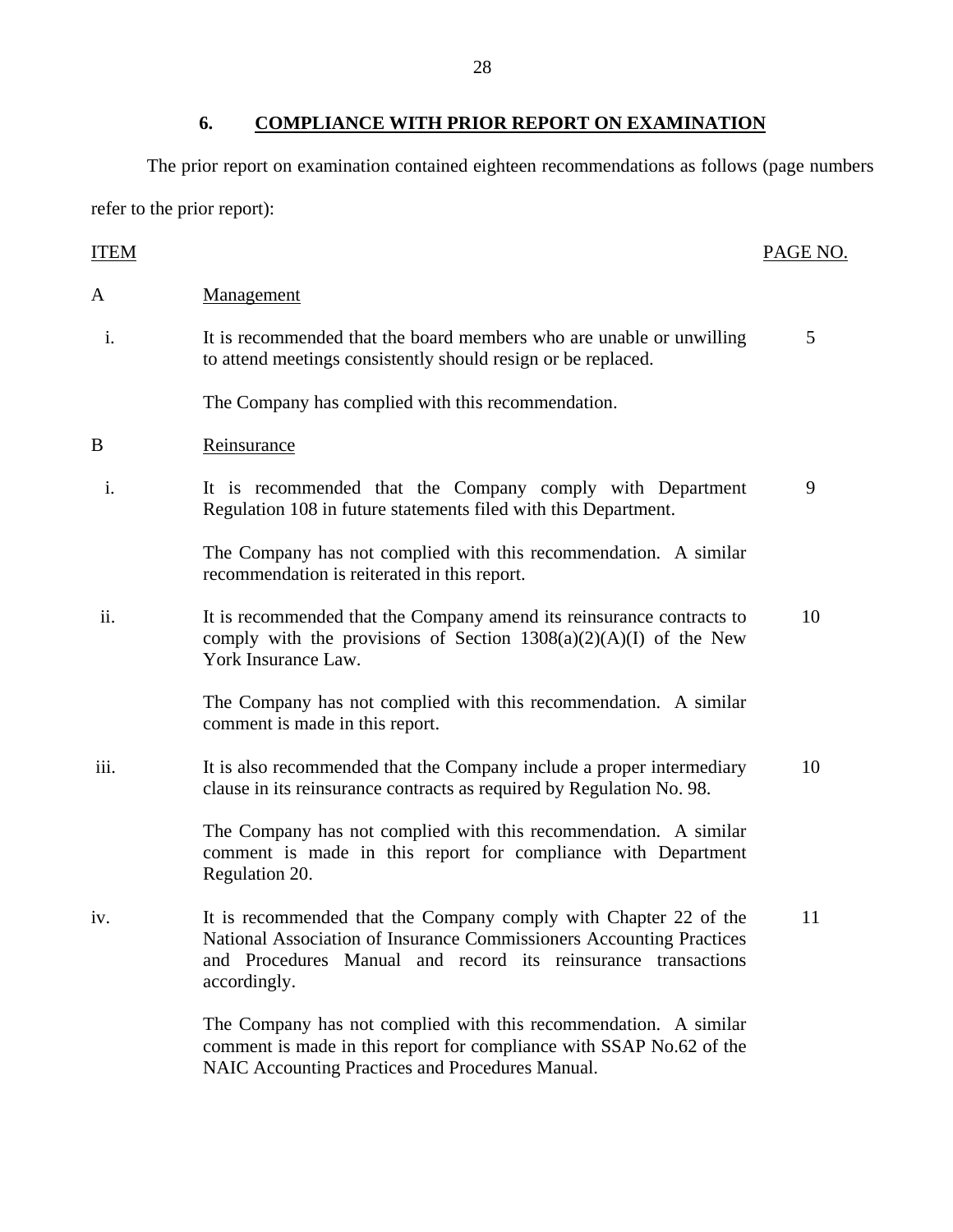### **6. COMPLIANCE WITH PRIOR REPORT ON EXAMINATION**

The prior report on examination contained eighteen recommendations as follows (page numbers refer to the prior report):

### **ITEM** PAGE NO. A Management i. It is recommended that the board members who are unable or unwilling to attend meetings consistently should resign or be replaced. 5 The Company has complied with this recommendation. B Reinsurance i. It is recommended that the Company comply with Department Regulation 108 in future statements filed with this Department. 9 The Company has not complied with this recommendation. A similar recommendation is reiterated in this report. ii. It is recommended that the Company amend its reinsurance contracts to comply with the provisions of Section  $1308(a)(2)(A)(I)$  of the New York Insurance Law. 10 The Company has not complied with this recommendation. A similar comment is made in this report. iii. It is also recommended that the Company include a proper intermediary clause in its reinsurance contracts as required by Regulation No. 98. 10 The Company has not complied with this recommendation. A similar comment is made in this report for compliance with Department Regulation 20. iv. It is recommended that the Company comply with Chapter 22 of the National Association of Insurance Commissioners Accounting Practices and Procedures Manual and record its reinsurance transactions accordingly. 11 The Company has not complied with this recommendation. A similar comment is made in this report for compliance with SSAP No.62 of the

NAIC Accounting Practices and Procedures Manual.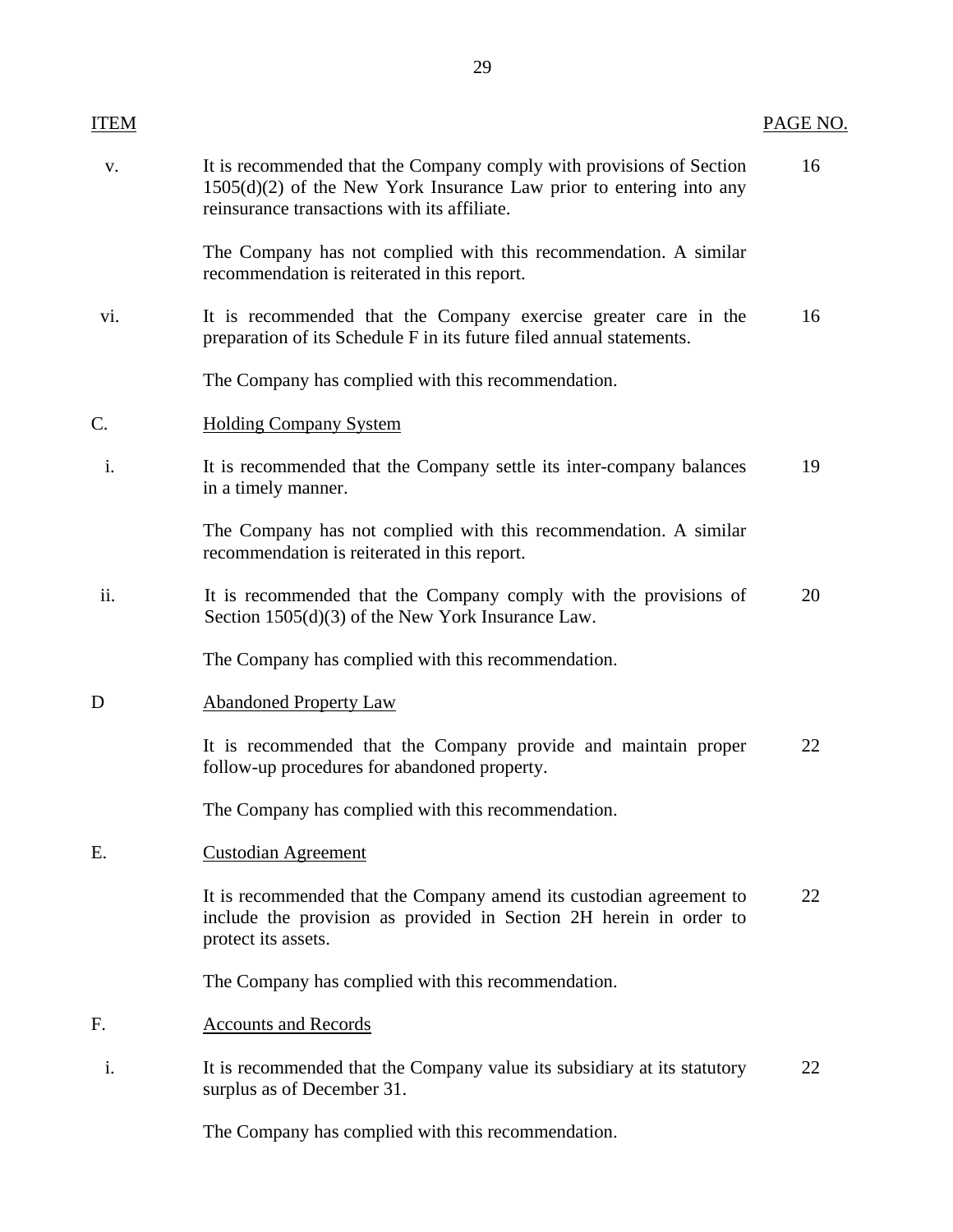| <b>ITEM</b>     |                                                                                                                                                                                               | PAGE NO. |
|-----------------|-----------------------------------------------------------------------------------------------------------------------------------------------------------------------------------------------|----------|
| V.              | It is recommended that the Company comply with provisions of Section<br>$1505(d)(2)$ of the New York Insurance Law prior to entering into any<br>reinsurance transactions with its affiliate. | 16       |
|                 | The Company has not complied with this recommendation. A similar<br>recommendation is reiterated in this report.                                                                              |          |
| vi.             | It is recommended that the Company exercise greater care in the<br>preparation of its Schedule F in its future filed annual statements.                                                       | 16       |
|                 | The Company has complied with this recommendation.                                                                                                                                            |          |
| $\mathcal{C}$ . | <b>Holding Company System</b>                                                                                                                                                                 |          |
| i.              | It is recommended that the Company settle its inter-company balances<br>in a timely manner.                                                                                                   | 19       |
|                 | The Company has not complied with this recommendation. A similar<br>recommendation is reiterated in this report.                                                                              |          |
| ii.             | It is recommended that the Company comply with the provisions of<br>Section $1505(d)(3)$ of the New York Insurance Law.                                                                       | 20       |
|                 | The Company has complied with this recommendation.                                                                                                                                            |          |
| D               | <b>Abandoned Property Law</b>                                                                                                                                                                 |          |
|                 | It is recommended that the Company provide and maintain proper<br>follow-up procedures for abandoned property.                                                                                | 22       |
|                 | The Company has complied with this recommendation.                                                                                                                                            |          |
| Ε.              | <b>Custodian Agreement</b>                                                                                                                                                                    |          |
|                 | It is recommended that the Company amend its custodian agreement to<br>include the provision as provided in Section 2H herein in order to<br>protect its assets.                              | 22       |
|                 | The Company has complied with this recommendation.                                                                                                                                            |          |
| F.              | <b>Accounts and Records</b>                                                                                                                                                                   |          |
| i.              | It is recommended that the Company value its subsidiary at its statutory<br>surplus as of December 31.                                                                                        | 22       |
|                 | The Company has complied with this recommendation.                                                                                                                                            |          |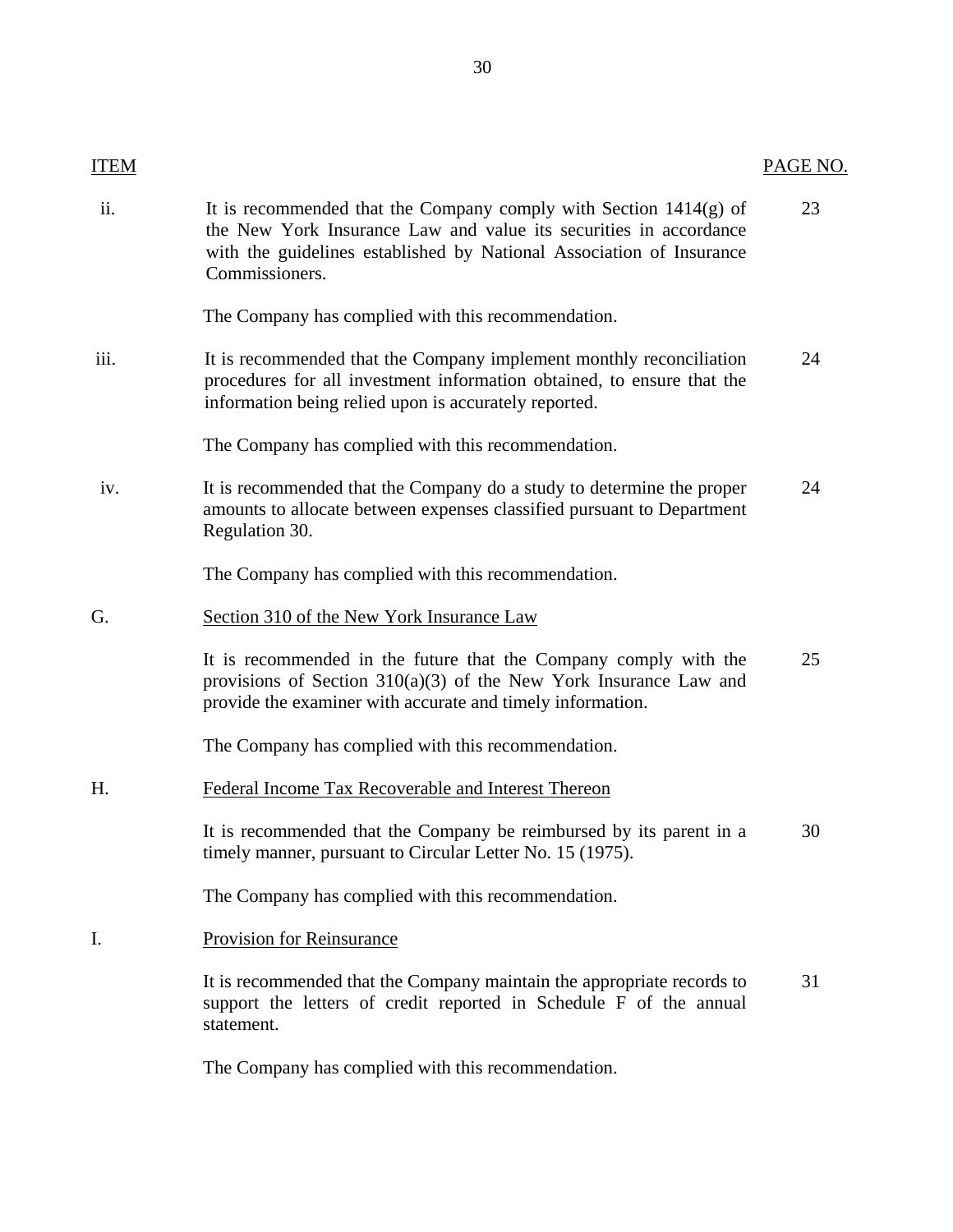## PAGE NO.

**ITEM** 

| ii.  | It is recommended that the Company comply with Section $1414(g)$ of<br>the New York Insurance Law and value its securities in accordance<br>with the guidelines established by National Association of Insurance<br>Commissioners. | 23 |
|------|------------------------------------------------------------------------------------------------------------------------------------------------------------------------------------------------------------------------------------|----|
|      | The Company has complied with this recommendation.                                                                                                                                                                                 |    |
| iii. | It is recommended that the Company implement monthly reconciliation<br>procedures for all investment information obtained, to ensure that the<br>information being relied upon is accurately reported.                             | 24 |
|      | The Company has complied with this recommendation.                                                                                                                                                                                 |    |
| iv.  | It is recommended that the Company do a study to determine the proper<br>amounts to allocate between expenses classified pursuant to Department<br>Regulation 30.                                                                  | 24 |
|      | The Company has complied with this recommendation.                                                                                                                                                                                 |    |
| G.   | Section 310 of the New York Insurance Law                                                                                                                                                                                          |    |
|      | It is recommended in the future that the Company comply with the<br>provisions of Section $310(a)(3)$ of the New York Insurance Law and<br>provide the examiner with accurate and timely information.                              | 25 |
|      | The Company has complied with this recommendation.                                                                                                                                                                                 |    |
| H.   | Federal Income Tax Recoverable and Interest Thereon                                                                                                                                                                                |    |
|      | It is recommended that the Company be reimbursed by its parent in a<br>timely manner, pursuant to Circular Letter No. 15 (1975).                                                                                                   | 30 |
|      | The Company has complied with this recommendation.                                                                                                                                                                                 |    |
| Ι.   | <b>Provision for Reinsurance</b>                                                                                                                                                                                                   |    |
|      | It is recommended that the Company maintain the appropriate records to<br>support the letters of credit reported in Schedule F of the annual<br>statement.                                                                         | 31 |
|      | The Company has complied with this recommendation.                                                                                                                                                                                 |    |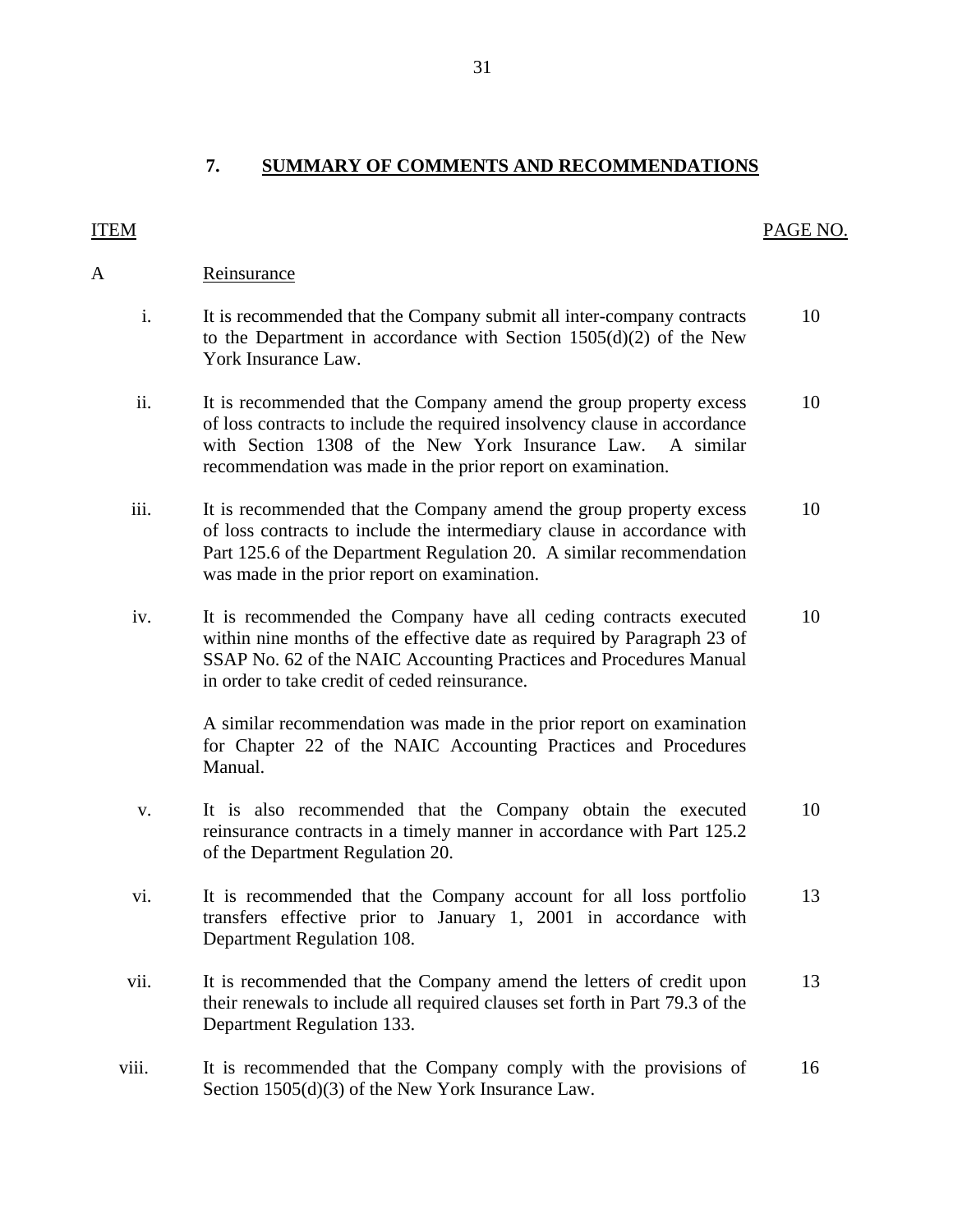PAGE NO.

<span id="page-34-0"></span>**ITEM** 

| <b>ITEM</b>                                                                                                                                                                                                                                                                            | PAGE N |
|----------------------------------------------------------------------------------------------------------------------------------------------------------------------------------------------------------------------------------------------------------------------------------------|--------|
| A<br>Reinsurance                                                                                                                                                                                                                                                                       |        |
| i.<br>It is recommended that the Company submit all inter-company contracts<br>to the Department in accordance with Section $1505(d)(2)$ of the New<br>York Insurance Law.                                                                                                             | 10     |
| ii.<br>It is recommended that the Company amend the group property excess<br>of loss contracts to include the required insolvency clause in accordance<br>with Section 1308 of the New York Insurance Law.<br>A similar<br>recommendation was made in the prior report on examination. | 10     |
| iii.<br>It is recommended that the Company amend the group property excess<br>of loss contracts to include the intermediary clause in accordance with<br>Part 125.6 of the Department Regulation 20. A similar recommendation<br>was made in the prior report on examination.          | 10     |
| It is recommended the Company have all ceding contracts executed<br>iv.<br>within nine months of the effective date as required by Paragraph 23 of<br>SSAP No. 62 of the NAIC Accounting Practices and Procedures Manual<br>in order to take credit of ceded reinsurance.              | 10     |
| A similar recommendation was made in the prior report on examination<br>for Chapter 22 of the NAIC Accounting Practices and Procedures<br>Manual.                                                                                                                                      |        |
| It is also recommended that the Company obtain the executed<br>V.<br>reinsurance contracts in a timely manner in accordance with Part 125.2<br>of the Department Regulation 20.                                                                                                        | 10     |
| vi.<br>It is recommended that the Company account for all loss portfolio<br>transfers effective prior to January 1, 2001 in accordance with<br>Department Regulation 108.                                                                                                              | 13     |
| vii.<br>It is recommended that the Company amend the letters of credit upon<br>their renewals to include all required clauses set forth in Part 79.3 of the<br>Department Regulation 133.                                                                                              | 13     |
| It is recommended that the Company comply with the provisions of<br>viii.<br>Section $1505(d)(3)$ of the New York Insurance Law.                                                                                                                                                       | 16     |

31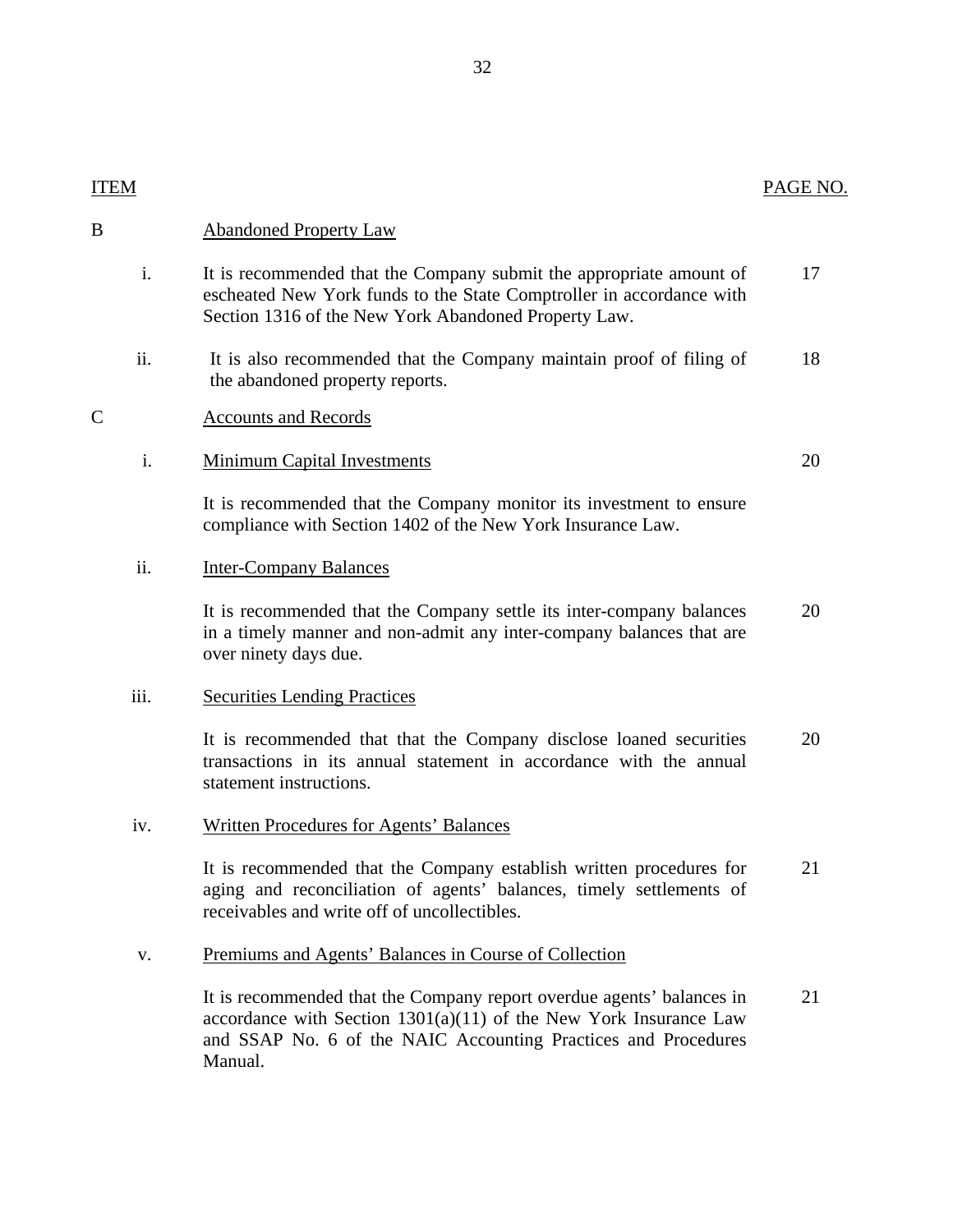| <b>PAGE N</b> |  |
|---------------|--|
|               |  |

| ITEM               |                                                                                                                                                                                                                           | PAGE NO. |
|--------------------|---------------------------------------------------------------------------------------------------------------------------------------------------------------------------------------------------------------------------|----------|
| B                  | <b>Abandoned Property Law</b>                                                                                                                                                                                             |          |
| i.                 | It is recommended that the Company submit the appropriate amount of<br>escheated New York funds to the State Comptroller in accordance with<br>Section 1316 of the New York Abandoned Property Law.                       | 17       |
| ii.                | It is also recommended that the Company maintain proof of filing of<br>the abandoned property reports.                                                                                                                    | 18       |
| $\overline{\rm C}$ | <b>Accounts and Records</b>                                                                                                                                                                                               |          |
| i.                 | <b>Minimum Capital Investments</b>                                                                                                                                                                                        | 20       |
|                    | It is recommended that the Company monitor its investment to ensure<br>compliance with Section 1402 of the New York Insurance Law.                                                                                        |          |
| ii.                | <b>Inter-Company Balances</b>                                                                                                                                                                                             |          |
|                    | It is recommended that the Company settle its inter-company balances<br>in a timely manner and non-admit any inter-company balances that are<br>over ninety days due.                                                     | 20       |
| iii.               | <b>Securities Lending Practices</b>                                                                                                                                                                                       |          |
|                    | It is recommended that that the Company disclose loaned securities<br>transactions in its annual statement in accordance with the annual<br>statement instructions.                                                       | 20       |
| iv.                | <b>Written Procedures for Agents' Balances</b>                                                                                                                                                                            |          |
|                    | It is recommended that the Company establish written procedures for<br>aging and reconciliation of agents' balances, timely settlements of<br>receivables and write off of uncollectibles.                                | 21       |
| V.                 | Premiums and Agents' Balances in Course of Collection                                                                                                                                                                     |          |
|                    | It is recommended that the Company report overdue agents' balances in<br>accordance with Section $1301(a)(11)$ of the New York Insurance Law<br>and SSAP No. 6 of the NAIC Accounting Practices and Procedures<br>Manual. | 21       |

 $\overline{B}$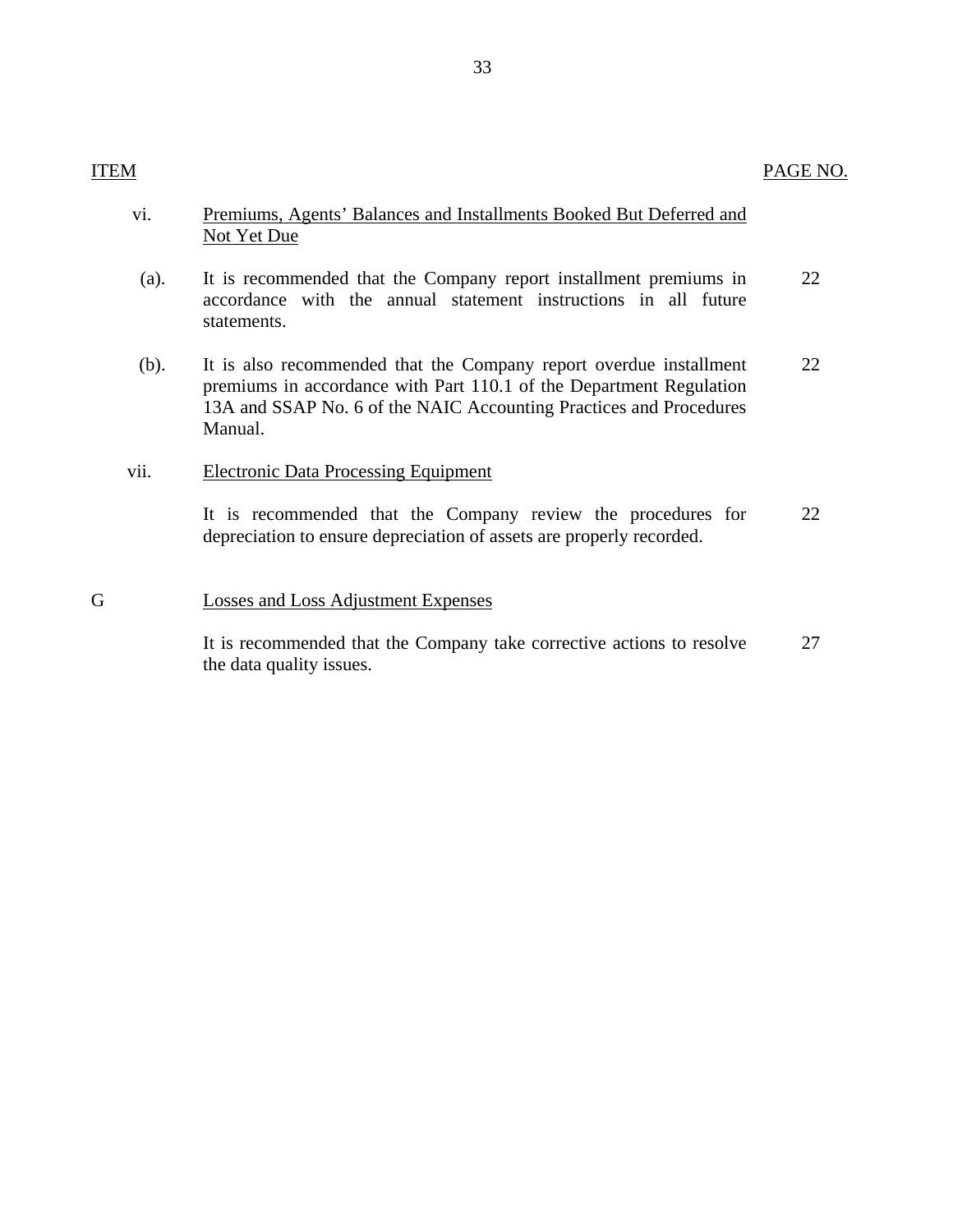| vi.  | Premiums, Agents' Balances and Installments Booked But Deferred and<br>Not Yet Due                                                                                                                                         |    |
|------|----------------------------------------------------------------------------------------------------------------------------------------------------------------------------------------------------------------------------|----|
| (a). | It is recommended that the Company report installment premiums in<br>accordance with the annual statement instructions in all future<br>statements.                                                                        | 22 |
| (b). | It is also recommended that the Company report overdue installment<br>premiums in accordance with Part 110.1 of the Department Regulation<br>13A and SSAP No. 6 of the NAIC Accounting Practices and Procedures<br>Manual. | 22 |
| vii. | <b>Electronic Data Processing Equipment</b>                                                                                                                                                                                |    |
|      | It is recommended that the Company review the procedures for<br>depreciation to ensure depreciation of assets are properly recorded.                                                                                       | 22 |
|      | Losses and Loss Adjustment Expenses                                                                                                                                                                                        |    |

It is recommended that the Company take corrective actions to resolve the data quality issues. 27

 ${\bf G}$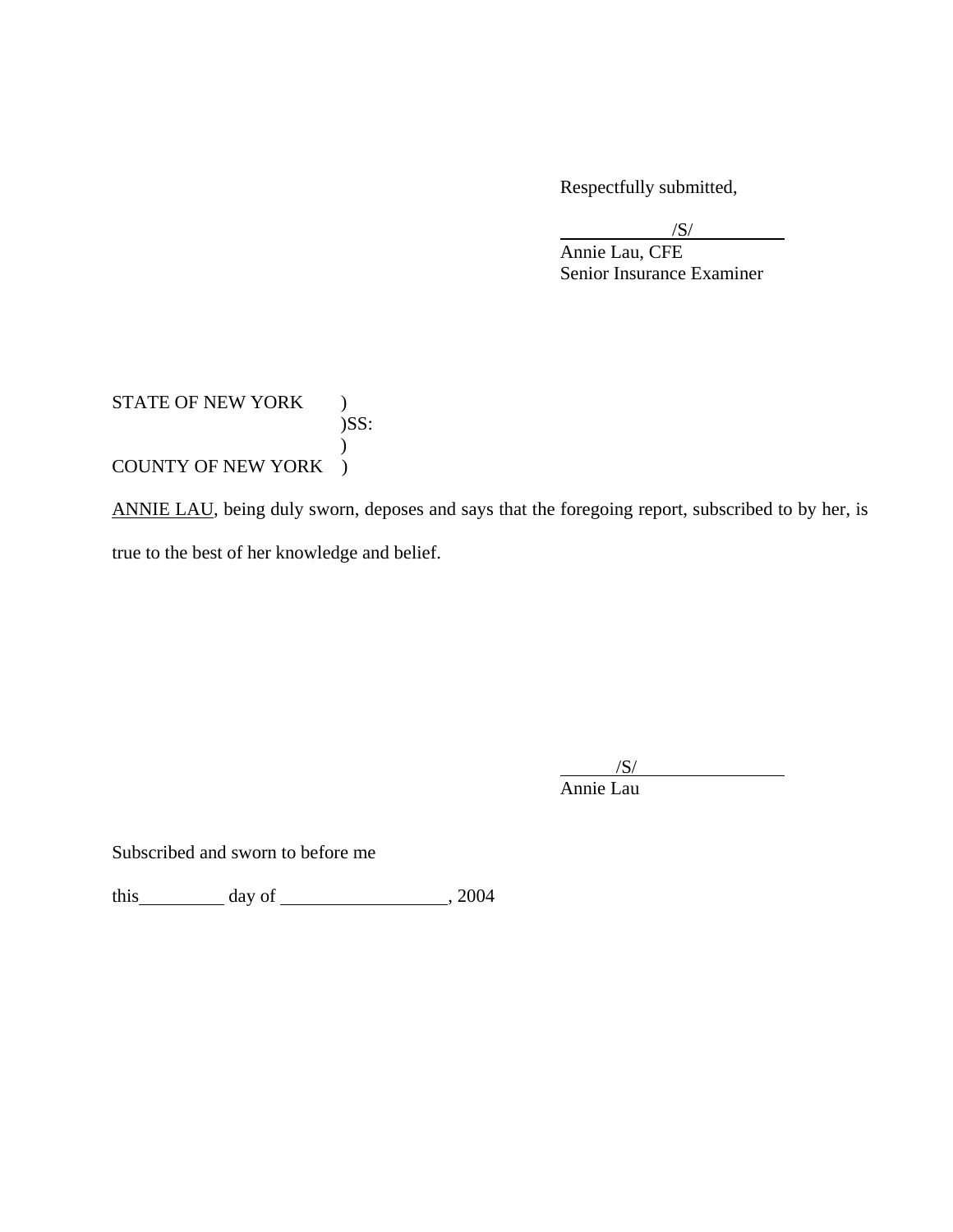Respectfully submitted,

 $/S/$ /S/

 Annie Lau, CFE Senior Insurance Examiner

### STATE OF NEW YORK )  $)$ SS:  $\mathcal{L}$ COUNTY OF NEW YORK )

ANNIE LAU, being duly sworn, deposes and says that the foregoing report, subscribed to by her, is true to the best of her knowledge and belief.

 $/S/$  $\overline{\phantom{a}}$ /S/

Annie Lau

Subscribed and sworn to before me

this  $\frac{day \text{ of } (2004)}$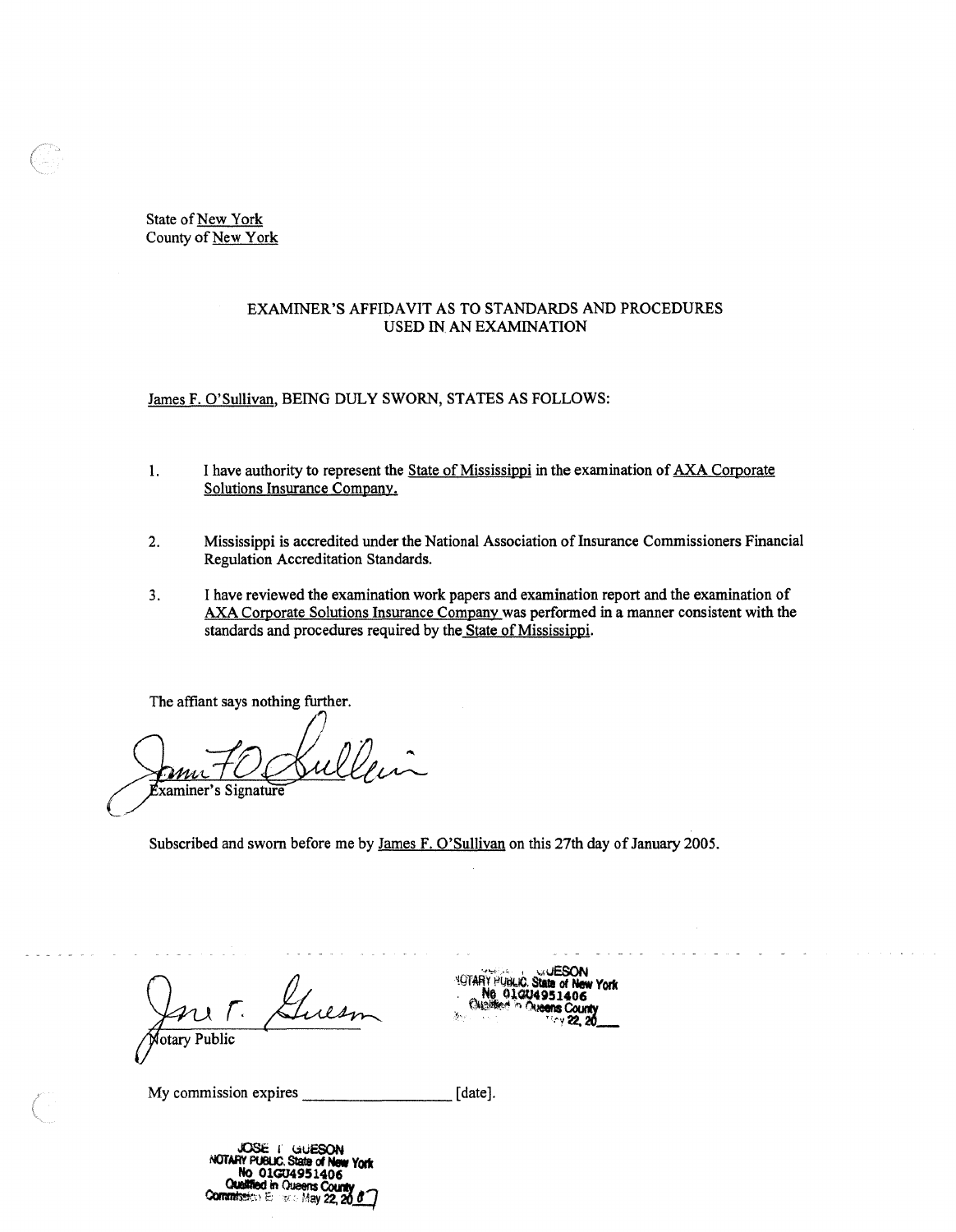State of New York County of New York

#### EXAMINER'S AFFIDAVIT AS TO STANDARDS AND PROCEDURES USED IN AN EXAMINATION

James F. O'Sullivan, BEING DULY SWORN, STATES AS FOLLOWS:

- 1. I have authority to represent the State of Mississippi in the examination of AXA Corporate Solutions Insurance Company.
- 2. Mississippi is accredited under the National Association of Insurance Commissioners Financial Regulation Accreditation Standards.
- 3. I have reviewed the examination work papers and examination report and the examination of AXA Corporate Solutions Insurance Company was performed in a manner consistent with the standards and procedures required by the State of Mississippi.

The affiant says nothing further.

ul De. n xaminer's Signature

Subscribed and sworn before me by James F. O'Sullivan on this 27th day of January 2005.

otary Public

**JESON YOTARY PUBLIC** Ne 01004951 406 Count

My commission expires \_\_\_\_\_\_\_\_[date].

**J0St:** I **<.auESON**  *NOTARY PUBLIC. State of No* **~1GU4951406**  *ad in Queens County*<br>> Enrick May 22, 26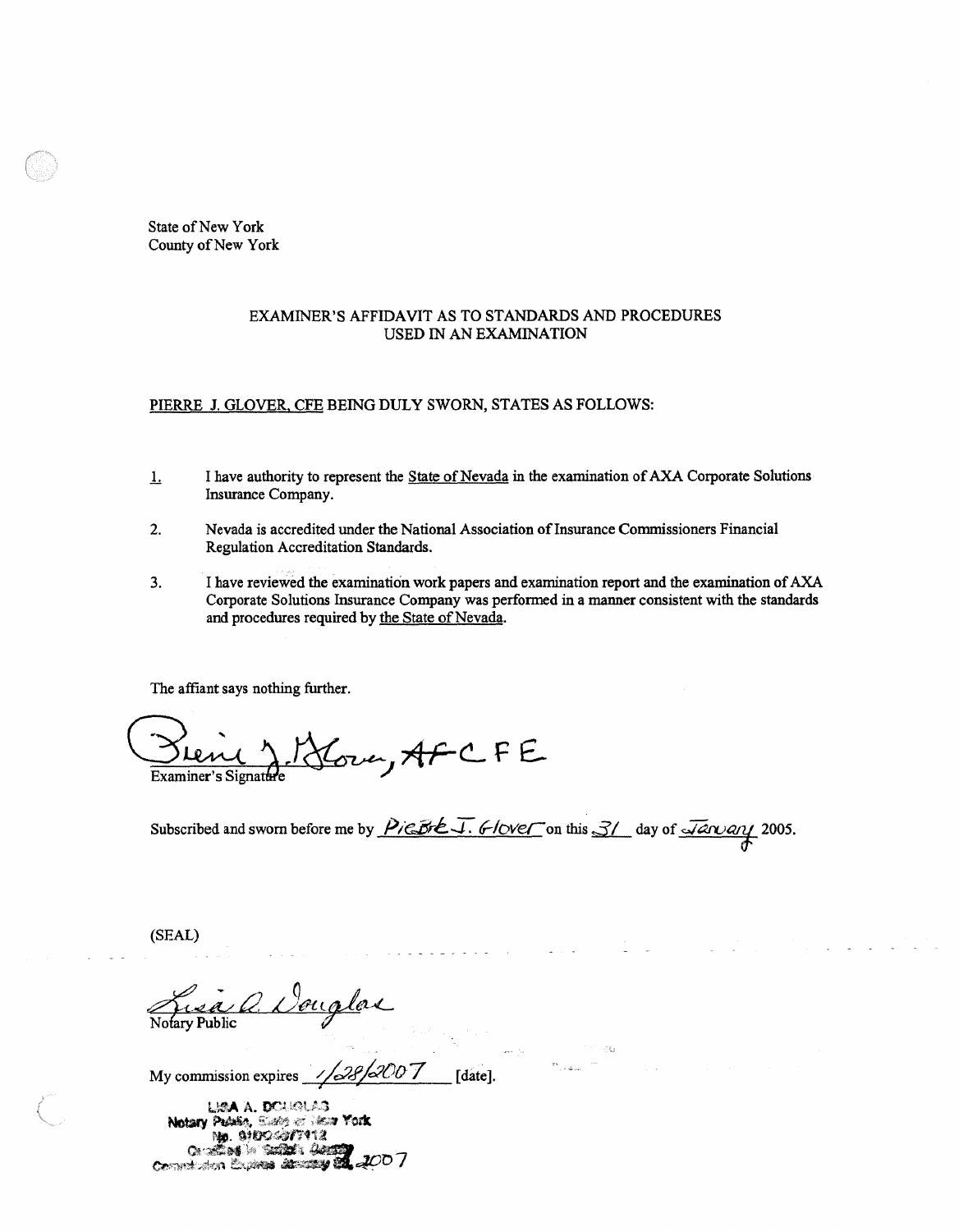State of New York County of New York

#### EXAMINER'S AFFIDAVIT AS TO STANDARDS AND PROCEDURES USED IN AN EXAMINATION

#### PIERRE J. GLOVER. CFE BEING DULY SWORN, STATES AS FOLLOWS:

- .L I have authority to represent the State of Nevada in the examination of AXA Corporate Solutions Insurance Company.
- 2. Nevada is accredited under the National Association of Insurance Commissioners Financial Regulation Accreditation Standards.
- 3. I have reviewed the examination work papers and examination report and the examination ofAXA Corporate Solutions Insurance Company was performed in a manner consistent with the standards and procedures required by the State of Nevada.

The affiant says nothing further.

Blend & Hour, AFCFE

Subscribed and sworn before me by PierteJ. 6-lover on this 3/ day of *January* 2005.

. . . . . . . .

(SEAL)

My commission expires . / */4.RfaOo* 7 [date]. *l* •

LISA A. DOUGLAS Notary Patkin, States of Hear York No. 01004377112 On Seath Suites Annual 2007